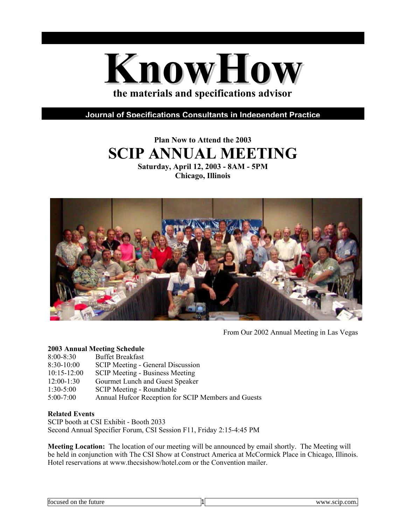

**Journal of Specifications Consultants in Independent Practice**

# **Plan Now to Attend the 2003 SCIP ANNUAL MEETING**

**Saturday, April 12, 2003 - 8AM - 5PM Chicago, Illinois** 



From Our 2002 Annual Meeting in Las Vegas

#### **2003 Annual Meeting Schedule**

| $8:00 - 8:30$   | <b>Buffet Breakfast</b>                             |
|-----------------|-----------------------------------------------------|
| $8:30-10:00$    | <b>SCIP Meeting - General Discussion</b>            |
| $10:15 - 12:00$ | <b>SCIP Meeting - Business Meeting</b>              |
| $12:00-1:30$    | Gourmet Lunch and Guest Speaker                     |
| $1:30-5:00$     | <b>SCIP Meeting - Roundtable</b>                    |
| $5:00 - 7:00$   | Annual Hufcor Reception for SCIP Members and Guests |

#### **Related Events**

SCIP booth at CSI Exhibit - Booth 2033 Second Annual Specifier Forum, CSI Session F11, Friday 2:15-4:45 PM

**Meeting Location:** The location of our meeting will be announced by email shortly. The Meeting will be held in conjunction with The CSI Show at Construct America at McCormick Place in Chicago, Illinois. Hotel reservations at www.thecsishow/hotel.com or the Convention mailer.

| $\sim$<br>tocus<br>future<br>fhe<br>or<br>. | cor<br>٦A<br>M<br>`` |
|---------------------------------------------|----------------------|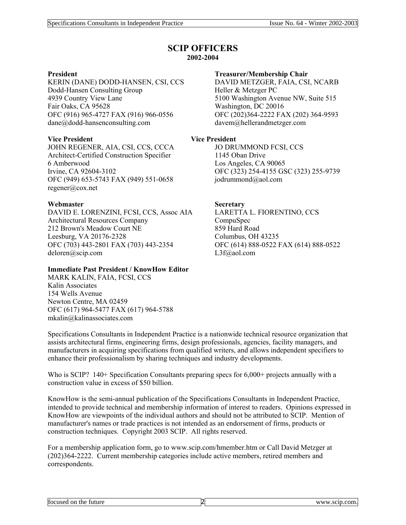# **SCIP OFFICERS**

#### **2002-2004**

KERIN (DANE) DODD-HANSEN, CSI, CCS DAVID METZGER, FAIA, CSI, NCARB Dodd-Hansen Consulting Group Heller & Metzger PC 4939 Country View Lane 5100 Washington Avenue NW, Suite 515 Fair Oaks, CA 95628 Washington, DC 20016 OFC (916) 965-4727 FAX (916) 966-0556 OFC (202)364-2222 FAX (202) 364-9593 dane@dodd-hansenconsulting.com davem@hellerandmetzger.com

#### **Vice President 19 Vice President 19 Vice President**

JOHN REGENER, AIA, CSI, CCS, CCCA JO DRUMMOND FCSI, CCS Architect-Certified Construction Specifier 1145 Oban Drive 6 Amberwood Los Angeles, CA 90065 Irvine, CA 92604-3102 OFC (323) 254-4155 GSC (323) 255-9739 OFC (949) 653-5743 FAX (949) 551-0658 jodrummond@aol.com regener@cox.net

#### Webmaster Secretary

DAVID E. LORENZINI, FCSI, CCS, Assoc AIA LARETTA L. FIORENTINO, CCS Architectural Resources Company CompuSpec 212 Brown's Meadow Court NE 859 Hard Road Leesburg, VA 20176-2328 Columbus, OH 43235 OFC (703) 443-2801 FAX (703) 443-2354 OFC (614) 888-0522 FAX (614) 888-0522 deloren@scip.com L3f@aol.com

#### **Immediate Past President / KnowHow Editor**

MARK KALIN, FAIA, FCSI, CCS Kalin Associates 154 Wells Avenue Newton Centre, MA 02459 OFC (617) 964-5477 FAX (617) 964-5788 mkalin@kalinassociates.com

#### **President Treasurer/Membership Chair Treasurer/Membership Chair**

Specifications Consultants in Independent Practice is a nationwide technical resource organization that assists architectural firms, engineering firms, design professionals, agencies, facility managers, and manufacturers in acquiring specifications from qualified writers, and allows independent specifiers to enhance their professionalism by sharing techniques and industry developments.

Who is SCIP? 140+ Specification Consultants preparing specs for 6,000+ projects annually with a construction value in excess of \$50 billion.

KnowHow is the semi-annual publication of the Specifications Consultants in Independent Practice, intended to provide technical and membership information of interest to readers. Opinions expressed in KnowHow are viewpoints of the individual authors and should not be attributed to SCIP. Mention of manufacturer's names or trade practices is not intended as an endorsement of firms, products or construction techniques. Copyright 2003 SCIP. All rights reserved.

For a membership application form, go to www.scip.com/hmember.htm or Call David Metzger at (202)364-2222. Current membership categories include active members, retired members and correspondents.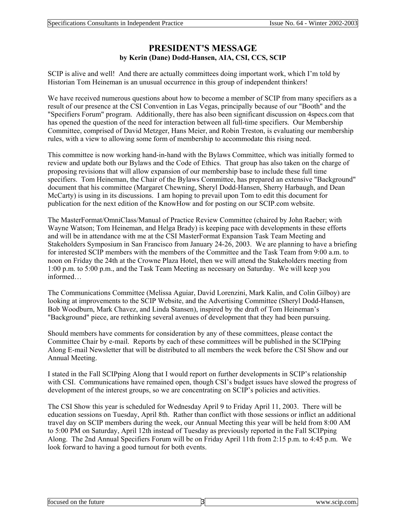## **PRESIDENT'S MESSAGE by Kerin (Dane) Dodd-Hansen, AIA, CSI, CCS, SCIP**

SCIP is alive and well! And there are actually committees doing important work, which I'm told by Historian Tom Heineman is an unusual occurrence in this group of independent thinkers!

We have received numerous questions about how to become a member of SCIP from many specifiers as a result of our presence at the CSI Convention in Las Vegas, principally because of our "Booth" and the "Specifiers Forum" program. Additionally, there has also been significant discussion on 4specs.com that has opened the question of the need for interaction between all full-time specifiers. Our Membership Committee, comprised of David Metzger, Hans Meier, and Robin Treston, is evaluating our membership rules, with a view to allowing some form of membership to accommodate this rising need.

This committee is now working hand-in-hand with the Bylaws Committee, which was initially formed to review and update both our Bylaws and the Code of Ethics. That group has also taken on the charge of proposing revisions that will allow expansion of our membership base to include these full time specifiers. Tom Heineman, the Chair of the Bylaws Committee, has prepared an extensive "Background" document that his committee (Margaret Chewning, Sheryl Dodd-Hansen, Sherry Harbaugh, and Dean McCarty) is using in its discussions. I am hoping to prevail upon Tom to edit this document for publication for the next edition of the KnowHow and for posting on our SCIP.com website.

The MasterFormat/OmniClass/Manual of Practice Review Committee (chaired by John Raeber; with Wayne Watson; Tom Heineman, and Helga Brady) is keeping pace with developments in these efforts and will be in attendance with me at the CSI MasterFormat Expansion Task Team Meeting and Stakeholders Symposium in San Francisco from January 24-26, 2003. We are planning to have a briefing for interested SCIP members with the members of the Committee and the Task Team from 9:00 a.m. to noon on Friday the 24th at the Crowne Plaza Hotel, then we will attend the Stakeholders meeting from 1:00 p.m. to 5:00 p.m., and the Task Team Meeting as necessary on Saturday. We will keep you informed…

The Communications Committee (Melissa Aguiar, David Lorenzini, Mark Kalin, and Colin Gilboy) are looking at improvements to the SCIP Website, and the Advertising Committee (Sheryl Dodd-Hansen, Bob Woodburn, Mark Chavez, and Linda Stansen), inspired by the draft of Tom Heineman's "Background" piece, are rethinking several avenues of development that they had been pursuing.

Should members have comments for consideration by any of these committees, please contact the Committee Chair by e-mail. Reports by each of these committees will be published in the SCIPping Along E-mail Newsletter that will be distributed to all members the week before the CSI Show and our Annual Meeting.

I stated in the Fall SCIPping Along that I would report on further developments in SCIP's relationship with CSI. Communications have remained open, though CSI's budget issues have slowed the progress of development of the interest groups, so we are concentrating on SCIP's policies and activities.

The CSI Show this year is scheduled for Wednesday April 9 to Friday April 11, 2003. There will be education sessions on Tuesday, April 8th. Rather than conflict with those sessions or inflict an additional travel day on SCIP members during the week, our Annual Meeting this year will be held from 8:00 AM to 5:00 PM on Saturday, April 12th instead of Tuesday as previously reported in the Fall SCIPping Along. The 2nd Annual Specifiers Forum will be on Friday April 11th from 2:15 p.m. to 4:45 p.m. We look forward to having a good turnout for both events.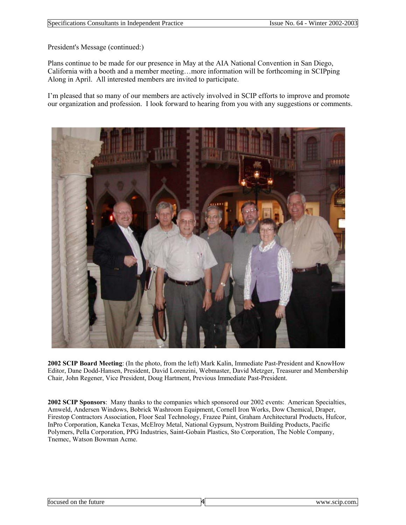President's Message (continued:)

Plans continue to be made for our presence in May at the AIA National Convention in San Diego, California with a booth and a member meeting…more information will be forthcoming in SCIPping Along in April. All interested members are invited to participate.

I'm pleased that so many of our members are actively involved in SCIP efforts to improve and promote our organization and profession. I look forward to hearing from you with any suggestions or comments.



**2002 SCIP Board Meeting**: (In the photo, from the left) Mark Kalin, Immediate Past-President and KnowHow Editor, Dane Dodd-Hansen, President, David Lorenzini, Webmaster, David Metzger, Treasurer and Membership Chair, John Regener, Vice President, Doug Hartment, Previous Immediate Past-President.

**2002 SCIP Sponsors**: Many thanks to the companies which sponsored our 2002 events: American Specialties, Amweld, Andersen Windows, Bobrick Washroom Equipment, Cornell Iron Works, Dow Chemical, Draper, Firestop Contractors Association, Floor Seal Technology, Frazee Paint, Graham Architectural Products, Hufcor, InPro Corporation, Kaneka Texas, McElroy Metal, National Gypsum, Nystrom Building Products, Pacific Polymers, Pella Corporation, PPG Industries, Saint-Gobain Plastics, Sto Corporation, The Noble Company, Tnemec, Watson Bowman Acme.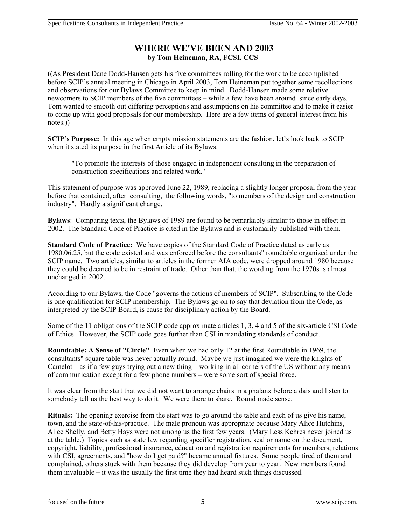## **WHERE WE'VE BEEN AND 2003 by Tom Heineman, RA, FCSI, CCS**

((As President Dane Dodd-Hansen gets his five committees rolling for the work to be accomplished before SCIP's annual meeting in Chicago in April 2003, Tom Heineman put together some recollections and observations for our Bylaws Committee to keep in mind. Dodd-Hansen made some relative newcomers to SCIP members of the five committees – while a few have been around since early days. Tom wanted to smooth out differing perceptions and assumptions on his committee and to make it easier to come up with good proposals for our membership. Here are a few items of general interest from his notes.))

**SCIP's Purpose:** In this age when empty mission statements are the fashion, let's look back to SCIP when it stated its purpose in the first Article of its Bylaws.

"To promote the interests of those engaged in independent consulting in the preparation of construction specifications and related work."

This statement of purpose was approved June 22, 1989, replacing a slightly longer proposal from the year before that contained, after consulting, the following words, "to members of the design and construction industry". Hardly a significant change.

**Bylaws**: Comparing texts, the Bylaws of 1989 are found to be remarkably similar to those in effect in 2002. The Standard Code of Practice is cited in the Bylaws and is customarily published with them.

**Standard Code of Practice:** We have copies of the Standard Code of Practice dated as early as 1980.06.25, but the code existed and was enforced before the consultants" roundtable organized under the SCIP name. Two articles, similar to articles in the former AIA code, were dropped around 1980 because they could be deemed to be in restraint of trade. Other than that, the wording from the 1970s is almost unchanged in 2002.

According to our Bylaws, the Code "governs the actions of members of SCIP". Subscribing to the Code is one qualification for SCIP membership. The Bylaws go on to say that deviation from the Code, as interpreted by the SCIP Board, is cause for disciplinary action by the Board.

Some of the 11 obligations of the SCIP code approximate articles 1, 3, 4 and 5 of the six-article CSI Code of Ethics. However, the SCIP code goes further than CSI in mandating standards of conduct.

**Roundtable: A Sense of "Circle"** Even when we had only 12 at the first Roundtable in 1969, the consultants" square table was never actually round. Maybe we just imagined we were the knights of Camelot – as if a few guys trying out a new thing – working in all corners of the US without any means of communication except for a few phone numbers – were some sort of special force.

It was clear from the start that we did not want to arrange chairs in a phalanx before a dais and listen to somebody tell us the best way to do it. We were there to share. Round made sense.

**Rituals:** The opening exercise from the start was to go around the table and each of us give his name, town, and the state-of-his-practice. The male pronoun was appropriate because Mary Alice Hutchins, Alice Shelly, and Betty Hays were not among us the first few years. (Mary Less Kehres never joined us at the table.) Topics such as state law regarding specifier registration, seal or name on the document, copyright, liability, professional insurance, education and registration requirements for members, relations with CSI, agreements, and "how do I get paid?" became annual fixtures. Some people tired of them and complained, others stuck with them because they did develop from year to year. New members found them invaluable – it was the usually the first time they had heard such things discussed.

| focused on the future |  |
|-----------------------|--|
|-----------------------|--|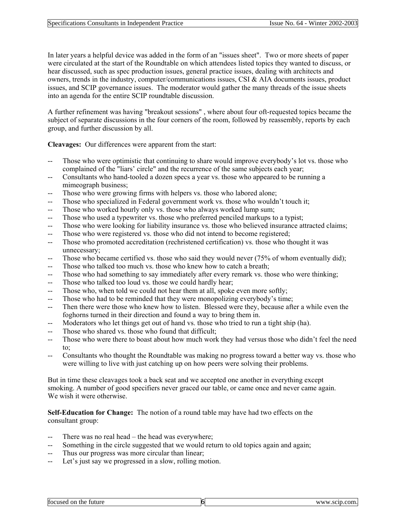In later years a helpful device was added in the form of an "issues sheet". Two or more sheets of paper were circulated at the start of the Roundtable on which attendees listed topics they wanted to discuss, or hear discussed, such as spec production issues, general practice issues, dealing with architects and owners, trends in the industry, computer/communications issues, CSI & AIA documents issues, product issues, and SCIP governance issues. The moderator would gather the many threads of the issue sheets into an agenda for the entire SCIP roundtable discussion.

A further refinement was having "breakout sessions" , where about four oft-requested topics became the subject of separate discussions in the four corners of the room, followed by reassembly, reports by each group, and further discussion by all.

**Cleavages:** Our differences were apparent from the start:

- Those who were optimistic that continuing to share would improve everybody's lot vs. those who complained of the "liars' circle" and the recurrence of the same subjects each year;
- -- Consultants who hand-tooled a dozen specs a year vs. those who appeared to be running a mimeograph business;
- -- Those who were growing firms with helpers vs. those who labored alone;
- -- Those who specialized in Federal government work vs. those who wouldn't touch it;
- -- Those who worked hourly only vs. those who always worked lump sum;
- -- Those who used a typewriter vs. those who preferred penciled markups to a typist;
- -- Those who were looking for liability insurance vs. those who believed insurance attracted claims;
- -- Those who were registered vs. those who did not intend to become registered;
- -- Those who promoted accreditation (rechristened certification) vs. those who thought it was unnecessary;
- -- Those who became certified vs. those who said they would never (75% of whom eventually did);
- Those who talked too much vs. those who knew how to catch a breath;
- -- Those who had something to say immediately after every remark vs. those who were thinking;
- -- Those who talked too loud vs. those we could hardly hear;
- -- Those who, when told we could not hear them at all, spoke even more softly;
- -- Those who had to be reminded that they were monopolizing everybody's time;
- -- Then there were those who knew how to listen. Blessed were they, because after a while even the foghorns turned in their direction and found a way to bring them in.
- -- Moderators who let things get out of hand vs. those who tried to run a tight ship (ha).
- -- Those who shared vs. those who found that difficult;
- Those who were there to boast about how much work they had versus those who didn't feel the need to;
- -- Consultants who thought the Roundtable was making no progress toward a better way vs. those who were willing to live with just catching up on how peers were solving their problems.

But in time these cleavages took a back seat and we accepted one another in everything except smoking. A number of good specifiers never graced our table, or came once and never came again. We wish it were otherwise.

**Self-Education for Change:** The notion of a round table may have had two effects on the consultant group:

- -- There was no real head the head was everywhere;
- -- Something in the circle suggested that we would return to old topics again and again;
- Thus our progress was more circular than linear;
- -- Let's just say we progressed in a slow, rolling motion.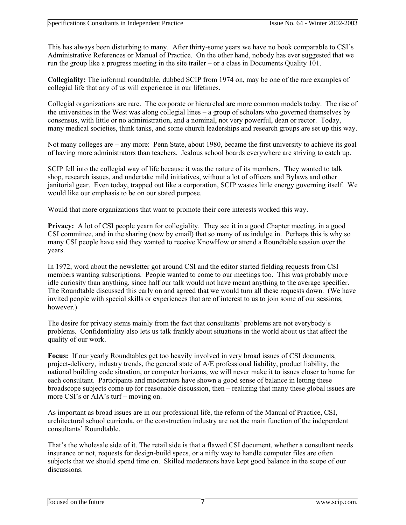This has always been disturbing to many. After thirty-some years we have no book comparable to CSI's Administrative References or Manual of Practice. On the other hand, nobody has ever suggested that we run the group like a progress meeting in the site trailer – or a class in Documents Quality 101.

**Collegiality:** The informal roundtable, dubbed SCIP from 1974 on, may be one of the rare examples of collegial life that any of us will experience in our lifetimes.

Collegial organizations are rare. The corporate or hierarchal are more common models today. The rise of the universities in the West was along collegial lines – a group of scholars who governed themselves by consensus, with little or no administration, and a nominal, not very powerful, dean or rector. Today, many medical societies, think tanks, and some church leaderships and research groups are set up this way.

Not many colleges are – any more: Penn State, about 1980, became the first university to achieve its goal of having more administrators than teachers. Jealous school boards everywhere are striving to catch up.

SCIP fell into the collegial way of life because it was the nature of its members. They wanted to talk shop, research issues, and undertake mild initiatives, without a lot of officers and Bylaws and other janitorial gear. Even today, trapped out like a corporation, SCIP wastes little energy governing itself. We would like our emphasis to be on our stated purpose.

Would that more organizations that want to promote their core interests worked this way.

**Privacy:** A lot of CSI people yearn for collegiality. They see it in a good Chapter meeting, in a good CSI committee, and in the sharing (now by email) that so many of us indulge in. Perhaps this is why so many CSI people have said they wanted to receive KnowHow or attend a Roundtable session over the years.

In 1972, word about the newsletter got around CSI and the editor started fielding requests from CSI members wanting subscriptions. People wanted to come to our meetings too. This was probably more idle curiosity than anything, since half our talk would not have meant anything to the average specifier. The Roundtable discussed this early on and agreed that we would turn all these requests down. (We have invited people with special skills or experiences that are of interest to us to join some of our sessions, however.)

The desire for privacy stems mainly from the fact that consultants' problems are not everybody's problems. Confidentiality also lets us talk frankly about situations in the world about us that affect the quality of our work.

**Focus:** If our yearly Roundtables get too heavily involved in very broad issues of CSI documents, project-delivery, industry trends, the general state of A/E professional liability, product liability, the national building code situation, or computer horizons, we will never make it to issues closer to home for each consultant. Participants and moderators have shown a good sense of balance in letting these broadscope subjects come up for reasonable discussion, then – realizing that many these global issues are more CSI's or AIA's turf – moving on.

As important as broad issues are in our professional life, the reform of the Manual of Practice, CSI, architectural school curricula, or the construction industry are not the main function of the independent consultants' Roundtable.

That's the wholesale side of it. The retail side is that a flawed CSI document, whether a consultant needs insurance or not, requests for design-build specs, or a nifty way to handle computer files are often subjects that we should spend time on. Skilled moderators have kept good balance in the scope of our discussions.

| focused on the future |  |  |  |  |
|-----------------------|--|--|--|--|
|-----------------------|--|--|--|--|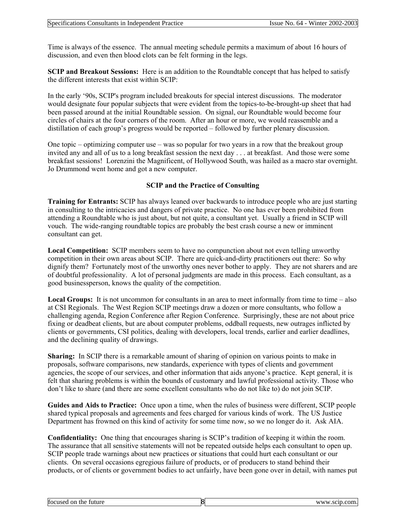Time is always of the essence. The annual meeting schedule permits a maximum of about 16 hours of discussion, and even then blood clots can be felt forming in the legs.

**SCIP and Breakout Sessions:** Here is an addition to the Roundtable concept that has helped to satisfy the different interests that exist within SCIP:

In the early '90s, SCIP's program included breakouts for special interest discussions. The moderator would designate four popular subjects that were evident from the topics-to-be-brought-up sheet that had been passed around at the initial Roundtable session. On signal, our Roundtable would become four circles of chairs at the four corners of the room. After an hour or more, we would reassemble and a distillation of each group's progress would be reported – followed by further plenary discussion.

One topic – optimizing computer use – was so popular for two years in a row that the breakout group invited any and all of us to a long breakfast session the next day . . . at breakfast. And those were some breakfast sessions! Lorenzini the Magnificent, of Hollywood South, was hailed as a macro star overnight. Jo Drummond went home and got a new computer.

#### **SCIP and the Practice of Consulting**

**Training for Entrants:** SCIP has always leaned over backwards to introduce people who are just starting in consulting to the intricacies and dangers of private practice. No one has ever been prohibited from attending a Roundtable who is just about, but not quite, a consultant yet. Usually a friend in SCIP will vouch. The wide-ranging roundtable topics are probably the best crash course a new or imminent consultant can get.

**Local Competition:** SCIP members seem to have no compunction about not even telling unworthy competition in their own areas about SCIP. There are quick-and-dirty practitioners out there: So why dignify them? Fortunately most of the unworthy ones never bother to apply. They are not sharers and are of doubtful professionality. A lot of personal judgments are made in this process. Each consultant, as a good businessperson, knows the quality of the competition.

**Local Groups:** It is not uncommon for consultants in an area to meet informally from time to time  $-$  also at CSI Regionals. The West Region SCIP meetings draw a dozen or more consultants, who follow a challenging agenda, Region Conference after Region Conference. Surprisingly, these are not about price fixing or deadbeat clients, but are about computer problems, oddball requests, new outrages inflicted by clients or governments, CSI politics, dealing with developers, local trends, earlier and earlier deadlines, and the declining quality of drawings.

**Sharing:** In SCIP there is a remarkable amount of sharing of opinion on various points to make in proposals, software comparisons, new standards, experience with types of clients and government agencies, the scope of our services, and other information that aids anyone's practice. Kept general, it is felt that sharing problems is within the bounds of customary and lawful professional activity. Those who don't like to share (and there are some excellent consultants who do not like to) do not join SCIP.

**Guides and Aids to Practice:** Once upon a time, when the rules of business were different, SCIP people shared typical proposals and agreements and fees charged for various kinds of work. The US Justice Department has frowned on this kind of activity for some time now, so we no longer do it. Ask AIA.

**Confidentiality:** One thing that encourages sharing is SCIP's tradition of keeping it within the room. The assurance that all sensitive statements will not be repeated outside helps each consultant to open up. SCIP people trade warnings about new practices or situations that could hurt each consultant or our clients. On several occasions egregious failure of products, or of producers to stand behind their products, or of clients or government bodies to act unfairly, have been gone over in detail, with names put

| focused on the future |  |
|-----------------------|--|
|-----------------------|--|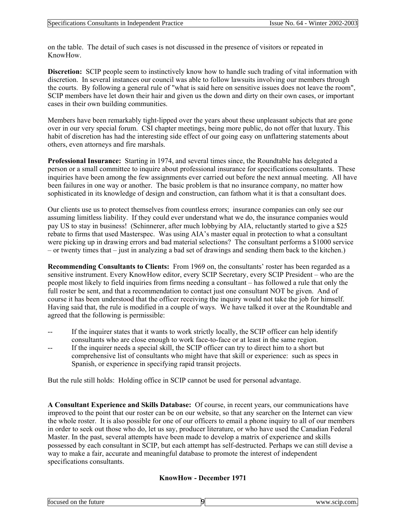on the table. The detail of such cases is not discussed in the presence of visitors or repeated in KnowHow.

**Discretion:** SCIP people seem to instinctively know how to handle such trading of vital information with discretion. In several instances our council was able to follow lawsuits involving our members through the courts. By following a general rule of "what is said here on sensitive issues does not leave the room", SCIP members have let down their hair and given us the down and dirty on their own cases, or important cases in their own building communities.

Members have been remarkably tight-lipped over the years about these unpleasant subjects that are gone over in our very special forum. CSI chapter meetings, being more public, do not offer that luxury. This habit of discretion has had the interesting side effect of our going easy on unflattering statements about others, even attorneys and fire marshals.

**Professional Insurance:** Starting in 1974, and several times since, the Roundtable has delegated a person or a small committee to inquire about professional insurance for specifications consultants. These inquiries have been among the few assignments ever carried out before the next annual meeting. All have been failures in one way or another. The basic problem is that no insurance company, no matter how sophisticated in its knowledge of design and construction, can fathom what it is that a consultant does.

Our clients use us to protect themselves from countless errors; insurance companies can only see our assuming limitless liability. If they could ever understand what we do, the insurance companies would pay US to stay in business! (Schinnerer, after much lobbying by AIA, reluctantly started to give a \$25 rebate to firms that used Masterspec. Was using AIA's master equal in protection to what a consultant were picking up in drawing errors and bad material selections? The consultant performs a \$1000 service – or twenty times that – just in analyzing a bad set of drawings and sending them back to the kitchen.)

**Recommending Consultants to Clients:** From 1969 on, the consultants' roster has been regarded as a sensitive instrument. Every KnowHow editor, every SCIP Secretary, every SCIP President – who are the people most likely to field inquiries from firms needing a consultant – has followed a rule that only the full roster be sent, and that a recommendation to contact just one consultant NOT be given. And of course it has been understood that the officer receiving the inquiry would not take the job for himself. Having said that, the rule is modified in a couple of ways. We have talked it over at the Roundtable and agreed that the following is permissible:

- If the inquirer states that it wants to work strictly locally, the SCIP officer can help identify consultants who are close enough to work face-to-face or at least in the same region.
- -- If the inquirer needs a special skill, the SCIP officer can try to direct him to a short but comprehensive list of consultants who might have that skill or experience: such as specs in Spanish, or experience in specifying rapid transit projects.

But the rule still holds: Holding office in SCIP cannot be used for personal advantage.

**A Consultant Experience and Skills Database:** Of course, in recent years, our communications have improved to the point that our roster can be on our website, so that any searcher on the Internet can view the whole roster. It is also possible for one of our officers to email a phone inquiry to all of our members in order to seek out those who do, let us say, producer literature, or who have used the Canadian Federal Master. In the past, several attempts have been made to develop a matrix of experience and skills possessed by each consultant in SCIP, but each attempt has self-destructed. Perhaps we can still devise a way to make a fair, accurate and meaningful database to promote the interest of independent specifications consultants.

#### **KnowHow - December 1971**

| ı.<br>tocused<br>future<br>rhe<br>on | $\sim$ | the contract of the contract of the contract of the contract of the contract of the contract of the contract of<br><br>. |
|--------------------------------------|--------|--------------------------------------------------------------------------------------------------------------------------|
|                                      |        |                                                                                                                          |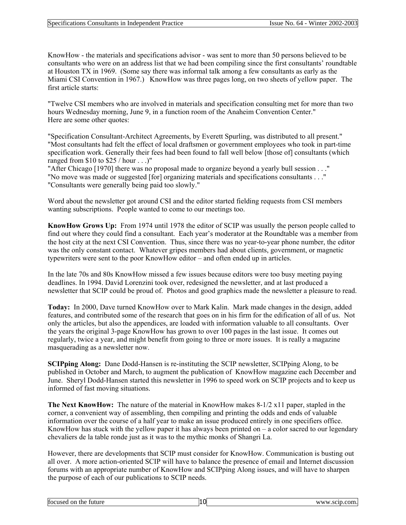KnowHow - the materials and specifications advisor - was sent to more than 50 persons believed to be consultants who were on an address list that we had been compiling since the first consultants' roundtable at Houston TX in 1969. (Some say there was informal talk among a few consultants as early as the Miami CSI Convention in 1967.) KnowHow was three pages long, on two sheets of yellow paper. The first article starts:

"Twelve CSI members who are involved in materials and specification consulting met for more than two hours Wednesday morning, June 9, in a function room of the Anaheim Convention Center." Here are some other quotes:

"Specification Consultant-Architect Agreements, by Everett Spurling, was distributed to all present." "Most consultants had felt the effect of local draftsmen or government employees who took in part-time specification work. Generally their fees had been found to fall well below [those of] consultants (which ranged from \$10 to \$25 / hour . . .)"

"After Chicago [1970] there was no proposal made to organize beyond a yearly bull session . . ." "No move was made or suggested [for] organizing materials and specifications consultants . . ." "Consultants were generally being paid too slowly."

Word about the newsletter got around CSI and the editor started fielding requests from CSI members wanting subscriptions. People wanted to come to our meetings too.

**KnowHow Grows Up:** From 1974 until 1978 the editor of SCIP was usually the person people called to find out where they could find a consultant. Each year's moderator at the Roundtable was a member from the host city at the next CSI Convention. Thus, since there was no year-to-year phone number, the editor was the only constant contact. Whatever gripes members had about clients, government, or magnetic typewriters were sent to the poor KnowHow editor – and often ended up in articles.

In the late 70s and 80s KnowHow missed a few issues because editors were too busy meeting paying deadlines. In 1994. David Lorenzini took over, redesigned the newsletter, and at last produced a newsletter that SCIP could be proud of. Photos and good graphics made the newsletter a pleasure to read.

**Today:** In 2000, Dave turned KnowHow over to Mark Kalin. Mark made changes in the design, added features, and contributed some of the research that goes on in his firm for the edification of all of us. Not only the articles, but also the appendices, are loaded with information valuable to all consultants. Over the years the original 3-page KnowHow has grown to over 100 pages in the last issue. It comes out regularly, twice a year, and might benefit from going to three or more issues. It is really a magazine masquerading as a newsletter now.

**SCIPping Along:** Dane Dodd-Hansen is re-instituting the SCIP newsletter, SCIPping Along, to be published in October and March, to augment the publication of KnowHow magazine each December and June. Sheryl Dodd-Hansen started this newsletter in 1996 to speed work on SCIP projects and to keep us informed of fast moving situations.

**The Next KnowHow:** The nature of the material in KnowHow makes 8-1/2 x11 paper, stapled in the corner, a convenient way of assembling, then compiling and printing the odds and ends of valuable information over the course of a half year to make an issue produced entirely in one specifiers office. KnowHow has stuck with the yellow paper it has always been printed on  $-$  a color sacred to our legendary chevaliers de la table ronde just as it was to the mythic monks of Shangri La.

However, there are developments that SCIP must consider for KnowHow. Communication is busting out all over. A more action-oriented SCIP will have to balance the presence of email and Internet discussion forums with an appropriate number of KnowHow and SCIPping Along issues, and will have to sharpen the purpose of each of our publications to SCIP needs.

| tocu<br>future<br>the<br>on<br>'USt<br>. | and the contract of the contract of the contract of the contract of the contract of the contract of the contract of the contract of the contract of the contract of the contract of the contract of the contract of the contra<br>∴or<br>$\sim$ |
|------------------------------------------|-------------------------------------------------------------------------------------------------------------------------------------------------------------------------------------------------------------------------------------------------|
|                                          |                                                                                                                                                                                                                                                 |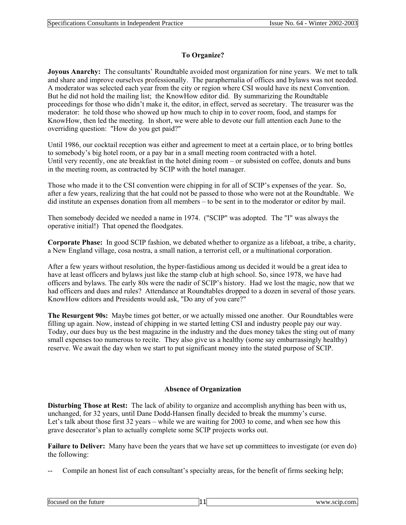#### **To Organize?**

**Joyous Anarchy:** The consultants' Roundtable avoided most organization for nine years. We met to talk and share and improve ourselves professionally. The paraphernalia of offices and bylaws was not needed. A moderator was selected each year from the city or region where CSI would have its next Convention. But he did not hold the mailing list; the KnowHow editor did. By summarizing the Roundtable proceedings for those who didn't make it, the editor, in effect, served as secretary. The treasurer was the moderator: he told those who showed up how much to chip in to cover room, food, and stamps for KnowHow, then led the meeting. In short, we were able to devote our full attention each June to the overriding question: "How do you get paid?"

Until 1986, our cocktail reception was either and agreement to meet at a certain place, or to bring bottles to somebody's big hotel room, or a pay bar in a small meeting room contracted with a hotel. Until very recently, one ate breakfast in the hotel dining room – or subsisted on coffee, donuts and buns in the meeting room, as contracted by SCIP with the hotel manager.

Those who made it to the CSI convention were chipping in for all of SCIP's expenses of the year. So, after a few years, realizing that the hat could not be passed to those who were not at the Roundtable. We did institute an expenses donation from all members – to be sent in to the moderator or editor by mail.

Then somebody decided we needed a name in 1974. ("SCIP" was adopted. The "I" was always the operative initial!) That opened the floodgates.

**Corporate Phase:** In good SCIP fashion, we debated whether to organize as a lifeboat, a tribe, a charity, a New England village, cosa nostra, a small nation, a terrorist cell, or a multinational corporation.

After a few years without resolution, the hyper-fastidious among us decided it would be a great idea to have at least officers and bylaws just like the stamp club at high school. So, since 1978, we have had officers and bylaws. The early 80s were the nadir of SCIP's history. Had we lost the magic, now that we had officers and dues and rules? Attendance at Roundtables dropped to a dozen in several of those years. KnowHow editors and Presidents would ask, "Do any of you care?"

**The Resurgent 90s:** Maybe times got better, or we actually missed one another. Our Roundtables were filling up again. Now, instead of chipping in we started letting CSI and industry people pay our way. Today, our dues buy us the best magazine in the industry and the dues money takes the sting out of many small expenses too numerous to recite. They also give us a healthy (some say embarrassingly healthy) reserve. We await the day when we start to put significant money into the stated purpose of SCIP.

#### **Absence of Organization**

**Disturbing Those at Rest:** The lack of ability to organize and accomplish anything has been with us, unchanged, for 32 years, until Dane Dodd-Hansen finally decided to break the mummy's curse. Let's talk about those first 32 years – while we are waiting for 2003 to come, and when see how this grave desecrator's plan to actually complete some SCIP projects works out.

**Failure to Deliver:** Many have been the years that we have set up committees to investigate (or even do) the following:

Compile an honest list of each consultant's specialty areas, for the benefit of firms seeking help;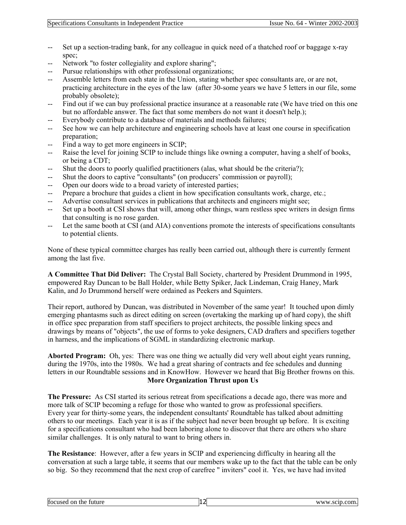- -- Set up a section-trading bank, for any colleague in quick need of a thatched roof or baggage x-ray spec;
- -- Network "to foster collegiality and explore sharing";
- -- Pursue relationships with other professional organizations;
- -- Assemble letters from each state in the Union, stating whether spec consultants are, or are not, practicing architecture in the eyes of the law (after 30-some years we have 5 letters in our file, some probably obsolete);
- -- Find out if we can buy professional practice insurance at a reasonable rate (We have tried on this one but no affordable answer. The fact that some members do not want it doesn't help.);
- -- Everybody contribute to a database of materials and methods failures;
- -- See how we can help architecture and engineering schools have at least one course in specification preparation;
- -- Find a way to get more engineers in SCIP;
- -- Raise the level for joining SCIP to include things like owning a computer, having a shelf of books, or being a CDT;
- -- Shut the doors to poorly qualified practitioners (alas, what should be the criteria?);
- -- Shut the doors to captive "consultants" (on producers' commission or payroll);
- Open our doors wide to a broad variety of interested parties;
- -- Prepare a brochure that guides a client in how specification consultants work, charge, etc.;
- -- Advertise consultant services in publications that architects and engineers might see;
- -- Set up a booth at CSI shows that will, among other things, warn restless spec writers in design firms that consulting is no rose garden.
- -- Let the same booth at CSI (and AIA) conventions promote the interests of specifications consultants to potential clients.

None of these typical committee charges has really been carried out, although there is currently ferment among the last five.

**A Committee That Did Deliver:** The Crystal Ball Society, chartered by President Drummond in 1995, empowered Ray Duncan to be Ball Holder, while Betty Spiker, Jack Lindeman, Craig Haney, Mark Kalin, and Jo Drummond herself were ordained as Peekers and Squinters.

Their report, authored by Duncan, was distributed in November of the same year! It touched upon dimly emerging phantasms such as direct editing on screen (overtaking the marking up of hard copy), the shift in office spec preparation from staff specifiers to project architects, the possible linking specs and drawings by means of "objects", the use of forms to yoke designers, CAD drafters and specifiers together in harness, and the implications of SGML in standardizing electronic markup.

**Aborted Program:** Oh, yes: There was one thing we actually did very well about eight years running, during the 1970s, into the 1980s. We had a great sharing of contracts and fee schedules and dunning letters in our Roundtable sessions and in KnowHow. However we heard that Big Brother frowns on this. **More Organization Thrust upon Us** 

**The Pressure:** As CSI started its serious retreat from specifications a decade ago, there was more and more talk of SCIP becoming a refuge for those who wanted to grow as professional specifiers. Every year for thirty-some years, the independent consultants' Roundtable has talked about admitting others to our meetings. Each year it is as if the subject had never been brought up before. It is exciting for a specifications consultant who had been laboring alone to discover that there are others who share similar challenges. It is only natural to want to bring others in.

**The Resistance**: However, after a few years in SCIP and experiencing difficulty in hearing all the conversation at such a large table, it seems that our members wake up to the fact that the table can be only so big. So they recommend that the next crop of carefree " inviters" cool it. Yes, we have had invited

|--|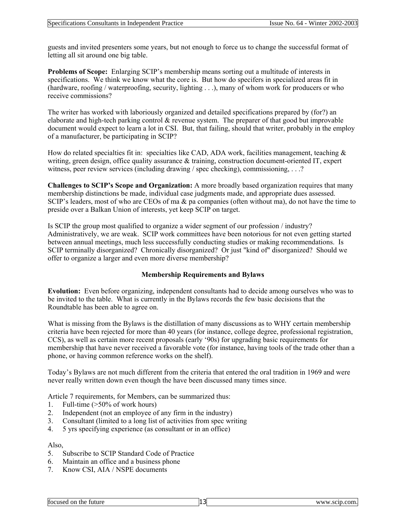guests and invited presenters some years, but not enough to force us to change the successful format of letting all sit around one big table.

**Problems of Scope:** Enlarging SCIP's membership means sorting out a multitude of interests in specifications. We think we know what the core is. But how do specifers in specialized areas fit in (hardware, roofing / waterproofing, security, lighting . . .), many of whom work for producers or who receive commissions?

The writer has worked with laboriously organized and detailed specifications prepared by (for?) an elaborate and high-tech parking control & revenue system. The preparer of that good but improvable document would expect to learn a lot in CSI. But, that failing, should that writer, probably in the employ of a manufacturer, be participating in SCIP?

How do related specialties fit in: specialties like CAD, ADA work, facilities management, teaching  $\&$ writing, green design, office quality assurance & training, construction document-oriented IT, expert witness, peer review services (including drawing / spec checking), commissioning, . . .?

**Challenges to SCIP's Scope and Organization:** A more broadly based organization requires that many membership distinctions be made, individual case judgments made, and appropriate dues assessed. SCIP's leaders, most of who are CEOs of ma & pa companies (often without ma), do not have the time to preside over a Balkan Union of interests, yet keep SCIP on target.

Is SCIP the group most qualified to organize a wider segment of our profession / industry? Administratively, we are weak. SCIP work committees have been notorious for not even getting started between annual meetings, much less successfully conducting studies or making recommendations. Is SCIP terminally disorganized? Chronically disorganized? Or just "kind of" disorganized? Should we offer to organize a larger and even more diverse membership?

#### **Membership Requirements and Bylaws**

**Evolution:** Even before organizing, independent consultants had to decide among ourselves who was to be invited to the table. What is currently in the Bylaws records the few basic decisions that the Roundtable has been able to agree on.

What is missing from the Bylaws is the distillation of many discussions as to WHY certain membership criteria have been rejected for more than 40 years (for instance, college degree, professional registration, CCS), as well as certain more recent proposals (early '90s) for upgrading basic requirements for membership that have never received a favorable vote (for instance, having tools of the trade other than a phone, or having common reference works on the shelf).

Today's Bylaws are not much different from the criteria that entered the oral tradition in 1969 and were never really written down even though the have been discussed many times since.

Article 7 requirements, for Members, can be summarized thus:

- 1. Full-time (>50% of work hours)
- 2. Independent (not an employee of any firm in the industry)
- 3. Consultant (limited to a long list of activities from spec writing
- 4. 5 yrs specifying experience (as consultant or in an office)

#### Also,

- 5. Subscribe to SCIP Standard Code of Practice
- 6. Maintain an office and a business phone
- 7. Know CSI, AIA / NSPE documents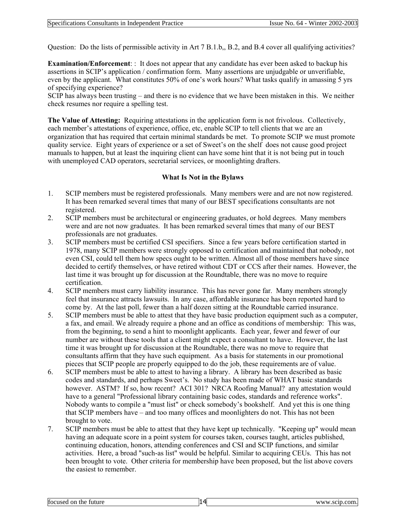Question: Do the lists of permissible activity in Art 7 B.1.b,, B.2, and B.4 cover all qualifying activities?

**Examination/Enforcement**: : It does not appear that any candidate has ever been asked to backup his assertions in SCIP's application / confirmation form. Many assertions are unjudgable or unverifiable, even by the applicant. What constitutes 50% of one's work hours? What tasks qualify in amassing 5 yrs of specifying experience?

SCIP has always been trusting – and there is no evidence that we have been mistaken in this. We neither check resumes nor require a spelling test.

**The Value of Attesting:** Requiring attestations in the application form is not frivolous. Collectively, each member's attestations of experience, office, etc, enable SCIP to tell clients that we are an organization that has required that certain minimal standards be met. To promote SCIP we must promote quality service. Eight years of experience or a set of Sweet's on the shelf does not cause good project manuals to happen, but at least the inquiring client can have some hint that it is not being put in touch with unemployed CAD operators, secretarial services, or moonlighting drafters.

#### **What Is Not in the Bylaws**

- 1. SCIP members must be registered professionals. Many members were and are not now registered. It has been remarked several times that many of our BEST specifications consultants are not registered.
- 2. SCIP members must be architectural or engineering graduates, or hold degrees. Many members were and are not now graduates. It has been remarked several times that many of our BEST professionals are not graduates.
- 3. SCIP members must be certified CSI specifiers. Since a few years before certification started in 1978, many SCIP members were strongly opposed to certification and maintained that nobody, not even CSI, could tell them how specs ought to be written. Almost all of those members have since decided to certify themselves, or have retired without CDT or CCS after their names. However, the last time it was brought up for discussion at the Roundtable, there was no move to require certification.
- 4. SCIP members must carry liability insurance. This has never gone far. Many members strongly feel that insurance attracts lawsuits. In any case, affordable insurance has been reported hard to come by. At the last poll, fewer than a half dozen sitting at the Roundtable carried insurance.
- 5. SCIP members must be able to attest that they have basic production equipment such as a computer, a fax, and email. We already require a phone and an office as conditions of membership: This was, from the beginning, to send a hint to moonlight applicants. Each year, fewer and fewer of our number are without these tools that a client might expect a consultant to have. However, the last time it was brought up for discussion at the Roundtable, there was no move to require that consultants affirm that they have such equipment. As a basis for statements in our promotional pieces that SCIP people are properly equipped to do the job, these requirements are of value.
- 6. SCIP members must be able to attest to having a library. A library has been described as basic codes and standards, and perhaps Sweet's. No study has been made of WHAT basic standards however. ASTM? If so, how recent? ACI 301? NRCA Roofing Manual? any attestation would have to a general "Professional library containing basic codes, standards and reference works". Nobody wants to compile a "must list" or check somebody's bookshelf. And yet this is one thing that SCIP members have – and too many offices and moonlighters do not. This has not been brought to vote.
- 7. SCIP members must be able to attest that they have kept up technically. "Keeping up" would mean having an adequate score in a point system for courses taken, courses taught, articles published, continuing education, honors, attending conferences and CSI and SCIP functions, and similar activities. Here, a broad "such-as list" would be helpful. Similar to acquiring CEUs. This has not been brought to vote. Other criteria for membership have been proposed, but the list above covers the easiest to remember.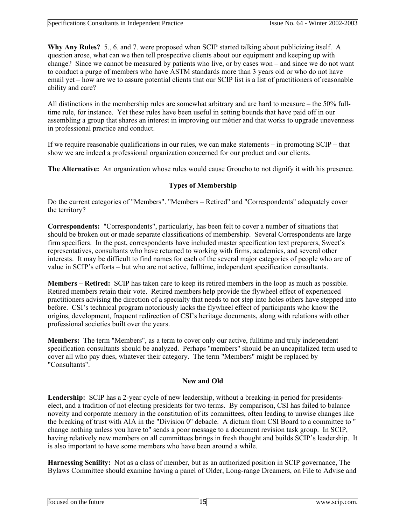**Why Any Rules?** 5., 6. and 7. were proposed when SCIP started talking about publicizing itself. A question arose, what can we then tell prospective clients about our equipment and keeping up with change? Since we cannot be measured by patients who live, or by cases won – and since we do not want to conduct a purge of members who have ASTM standards more than 3 years old or who do not have email yet – how are we to assure potential clients that our SCIP list is a list of practitioners of reasonable ability and care?

All distinctions in the membership rules are somewhat arbitrary and are hard to measure – the 50% fulltime rule, for instance. Yet these rules have been useful in setting bounds that have paid off in our assembling a group that shares an interest in improving our métier and that works to upgrade unevenness in professional practice and conduct.

If we require reasonable qualifications in our rules, we can make statements – in promoting SCIP – that show we are indeed a professional organization concerned for our product and our clients.

**The Alternative:** An organization whose rules would cause Groucho to not dignify it with his presence.

#### **Types of Membership**

Do the current categories of "Members". "Members – Retired" and "Correspondents" adequately cover the territory?

**Correspondents:** "Correspondents", particularly, has been felt to cover a number of situations that should be broken out or made separate classifications of membership. Several Correspondents are large firm specifiers. In the past, correspondents have included master specification text preparers, Sweet's representatives, consultants who have returned to working with firms, academics, and several other interests. It may be difficult to find names for each of the several major categories of people who are of value in SCIP's efforts – but who are not active, fulltime, independent specification consultants.

**Members – Retired:** SCIP has taken care to keep its retired members in the loop as much as possible. Retired members retain their vote. Retired members help provide the flywheel effect of experienced practitioners advising the direction of a specialty that needs to not step into holes others have stepped into before. CSI's technical program notoriously lacks the flywheel effect of participants who know the origins, development, frequent redirection of CSI's heritage documents, along with relations with other professional societies built over the years.

**Members:** The term "Members", as a term to cover only our active, fulltime and truly independent specification consultants should be analyzed. Perhaps "members" should be an uncapitalized term used to cover all who pay dues, whatever their category. The term "Members" might be replaced by "Consultants".

#### **New and Old**

**Leadership:** SCIP has a 2-year cycle of new leadership, without a breaking-in period for presidentselect, and a tradition of not electing presidents for two terms. By comparison, CSI has failed to balance novelty and corporate memory in the constitution of its committees, often leading to unwise changes like the breaking of trust with AIA in the "Division 0" debacle. A dictum from CSI Board to a committee to " change nothing unless you have to" sends a poor message to a document revision task group. In SCIP, having relatively new members on all committees brings in fresh thought and builds SCIP's leadership. It is also important to have some members who have been around a while.

**Harnessing Senility:** Not as a class of member, but as an authorized position in SCIP governance, The Bylaws Committee should examine having a panel of Older, Long-range Dreamers, on File to Advise and

focused on the future 15 and 15 www.scip.com.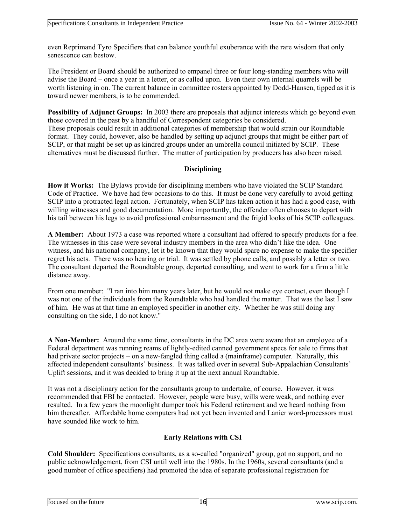even Reprimand Tyro Specifiers that can balance youthful exuberance with the rare wisdom that only senescence can bestow.

The President or Board should be authorized to empanel three or four long-standing members who will advise the Board – once a year in a letter, or as called upon. Even their own internal quarrels will be worth listening in on. The current balance in committee rosters appointed by Dodd-Hansen, tipped as it is toward newer members, is to be commended.

**Possibility of Adjunct Groups:** In 2003 there are proposals that adjunct interests which go beyond even those covered in the past by a handful of Correspondent categories be considered. These proposals could result in additional categories of membership that would strain our Roundtable format. They could, however, also be handled by setting up adjunct groups that might be either part of SCIP, or that might be set up as kindred groups under an umbrella council initiated by SCIP. These alternatives must be discussed further. The matter of participation by producers has also been raised.

#### **Disciplining**

**How it Works:** The Bylaws provide for disciplining members who have violated the SCIP Standard Code of Practice. We have had few occasions to do this. It must be done very carefully to avoid getting SCIP into a protracted legal action. Fortunately, when SCIP has taken action it has had a good case, with willing witnesses and good documentation. More importantly, the offender often chooses to depart with his tail between his legs to avoid professional embarrassment and the frigid looks of his SCIP colleagues.

**A Member:** About 1973 a case was reported where a consultant had offered to specify products for a fee. The witnesses in this case were several industry members in the area who didn't like the idea. One witness, and his national company, let it be known that they would spare no expense to make the specifier regret his acts. There was no hearing or trial. It was settled by phone calls, and possibly a letter or two. The consultant departed the Roundtable group, departed consulting, and went to work for a firm a little distance away.

From one member: "I ran into him many years later, but he would not make eye contact, even though I was not one of the individuals from the Roundtable who had handled the matter. That was the last I saw of him. He was at that time an employed specifier in another city. Whether he was still doing any consulting on the side, I do not know."

**A Non-Member:** Around the same time, consultants in the DC area were aware that an employee of a Federal department was running reams of lightly-edited canned government specs for sale to firms that had private sector projects – on a new-fangled thing called a (mainframe) computer. Naturally, this affected independent consultants' business. It was talked over in several Sub-Appalachian Consultants' Uplift sessions, and it was decided to bring it up at the next annual Roundtable.

It was not a disciplinary action for the consultants group to undertake, of course. However, it was recommended that FBI be contacted. However, people were busy, wills were weak, and nothing ever resulted. In a few years the moonlight dumper took his Federal retirement and we heard nothing from him thereafter. Affordable home computers had not yet been invented and Lanier word-processors must have sounded like work to him.

### **Early Relations with CSI**

**Cold Shoulder:** Specifications consultants, as a so-called "organized" group, got no support, and no public acknowledgement, from CSI until well into the 1980s. In the 1960s, several consultants (and a good number of office specifiers) had promoted the idea of separate professional registration for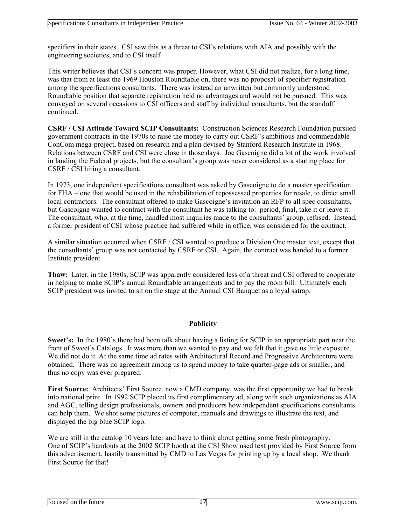specifiers in their states. CSI saw this as a threat to CSI's relations with AIA and possibly with the engineering societies, and to CSI itself.

This writer believes that CSI's concern was proper. However, what CSI did not realize, for a long time, was that from at least the 1969 Houston Roundtable on, there was no proposal of specifier registration among the specifications consultants. There was instead an unwritten but commonly understood Roundtable position that separate registration held no advantages and would not be pursued. This was conveyed on several occasions to CSI officers and staff by individual consultants, but the standoff continued.

**CSRF / CSI Attitude Toward SCIP Consultants:** Construction Sciences Research Foundation pursued government contracts in the 1970s to raise the money to carry out CSRF's ambitious and commendable ConCom mega-project, based on research and a plan devised by Stanford Research Institute in 1968. Relations between CSRF and CSI were close in those days. Joe Gascoigne did a lot of the work involved in landing the Federal projects, but the consultant's group was never considered as a starting place for CSRF / CSI hiring a consultant.

In 1973, one independent specifications consultant was asked by Gascoigne to do a master specification for FHA – one that would be used in the rehabilitation of repossessed properties for resale, to direct small local contractors. The consultant offered to make Gascoigne's invitation an RFP to all spec consultants, but Gascoigne wanted to contract with the consultant he was talking to: period, final, take it or leave it. The consultant, who, at the time, handled most inquiries made to the consultants' group, refused. Instead, a former president of CSI whose practice had suffered while in office, was considered for the contract.

A similar situation occurred when CSRF / CSI wanted to produce a Division One master text, except that the consultants' group was not contacted by CSRF or CSI. Again, the contract was handed to a former Institute president.

**Thaw:** Later, in the 1980s, SCIP was apparently considered less of a threat and CSI offered to cooperate in helping to make SCIP's annual Roundtable arrangements and to pay the room bill. Ultimately each SCIP president was invited to sit on the stage at the Annual CSI Banquet as a loyal satrap.

#### **Publicity**

**Sweet's:** In the 1980's there had been talk about having a listing for SCIP in an appropriate part near the front of Sweet's Catalogs. It was more than we wanted to pay and we felt that it gave us little exposure. We did not do it. At the same time ad rates with Architectural Record and Progressive Architecture were obtained. There was no agreement among us to spend money to take quarter-page ads or smaller, and thus no copy was ever prepared.

**First Source:** Architects' First Source, now a CMD company, was the first opportunity we had to break into national print. In 1992 SCIP placed its first complimentary ad, along with such organizations as AIA and AGC, telling design professionals, owners and producers how independent specifications consultants can help them. We shot some pictures of computer, manuals and drawings to illustrate the text, and displayed the big blue SCIP logo.

We are still in the catalog 10 years later and have to think about getting some fresh photography. One of SCIP's handouts at the 2002 SCIP booth at the CSI Show used text provided by First Source from this advertisement, hastily transmitted by CMD to Las Vegas for printing up by a local shop. We thank First Source for that!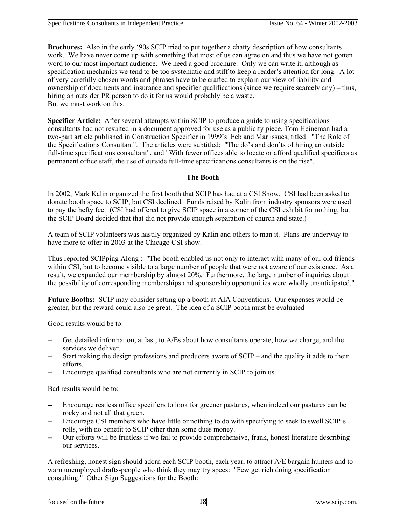**Brochures:** Also in the early '90s SCIP tried to put together a chatty description of how consultants work. We have never come up with something that most of us can agree on and thus we have not gotten word to our most important audience. We need a good brochure. Only we can write it, although as specification mechanics we tend to be too systematic and stiff to keep a reader's attention for long. A lot of very carefully chosen words and phrases have to be crafted to explain our view of liability and ownership of documents and insurance and specifier qualifications (since we require scarcely any) – thus, hiring an outsider PR person to do it for us would probably be a waste. But we must work on this.

**Specifier Article:** After several attempts within SCIP to produce a guide to using specifications consultants had not resulted in a document approved for use as a publicity piece, Tom Heineman had a two-part article published in Construction Specifier in 1999's Feb and Mar issues, titled: "The Role of the Specifications Consultant". The articles were subtitled: "The do's and don'ts of hiring an outside full-time specifications consultant", and "With fewer offices able to locate or afford qualified specifiers as permanent office staff, the use of outside full-time specifications consultants is on the rise".

#### **The Booth**

In 2002, Mark Kalin organized the first booth that SCIP has had at a CSI Show. CSI had been asked to donate booth space to SCIP, but CSI declined. Funds raised by Kalin from industry sponsors were used to pay the hefty fee. (CSI had offered to give SCIP space in a corner of the CSI exhibit for nothing, but the SCIP Board decided that that did not provide enough separation of church and state.)

A team of SCIP volunteers was hastily organized by Kalin and others to man it. Plans are underway to have more to offer in 2003 at the Chicago CSI show.

Thus reported SCIPping Along : "The booth enabled us not only to interact with many of our old friends within CSI, but to become visible to a large number of people that were not aware of our existence. As a result, we expanded our membership by almost 20%. Furthermore, the large number of inquiries about the possibility of corresponding memberships and sponsorship opportunities were wholly unanticipated."

**Future Booths:** SCIP may consider setting up a booth at AIA Conventions. Our expenses would be greater, but the reward could also be great. The idea of a SCIP booth must be evaluated

Good results would be to:

- Get detailed information, at last, to A/Es about how consultants operate, how we charge, and the services we deliver.
- Start making the design professions and producers aware of  $SCIP$  and the quality it adds to their efforts.
- -- Encourage qualified consultants who are not currently in SCIP to join us.

Bad results would be to:

- Encourage restless office specifiers to look for greener pastures, when indeed our pastures can be rocky and not all that green.
- -- Encourage CSI members who have little or nothing to do with specifying to seek to swell SCIP's rolls, with no benefit to SCIP other than some dues money.
- Our efforts will be fruitless if we fail to provide comprehensive, frank, honest literature describing our services.

A refreshing, honest sign should adorn each SCIP booth, each year, to attract A/E bargain hunters and to warn unemployed drafts-people who think they may try specs: "Few get rich doing specification consulting." Other Sign Suggestions for the Booth:

| ıс<br>ITO)<br>--<br>Ωľ<br>rne<br>.<br>.<br>. | . |
|----------------------------------------------|---|
|                                              |   |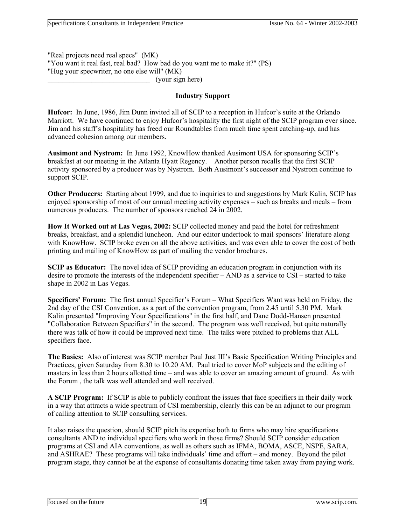"Real projects need real specs" (MK) "You want it real fast, real bad? How bad do you want me to make it?" (PS) "Hug your specwriter, no one else will" (MK) \_\_\_\_\_\_\_\_\_\_\_\_\_\_\_\_\_\_\_\_\_\_\_\_\_\_\_\_ (your sign here)

#### **Industry Support**

**Hufcor:** In June, 1986, Jim Dunn invited all of SCIP to a reception in Hufcor's suite at the Orlando Marriott. We have continued to enjoy Hufcor's hospitality the first night of the SCIP program ever since. Jim and his staff's hospitality has freed our Roundtables from much time spent catching-up, and has advanced cohesion among our members.

**Ausimont and Nystrom:** In June 1992, KnowHow thanked Ausimont USA for sponsoring SCIP's breakfast at our meeting in the Atlanta Hyatt Regency. Another person recalls that the first SCIP activity sponsored by a producer was by Nystrom. Both Ausimont's successor and Nystrom continue to support SCIP.

**Other Producers:** Starting about 1999, and due to inquiries to and suggestions by Mark Kalin, SCIP has enjoyed sponsorship of most of our annual meeting activity expenses – such as breaks and meals – from numerous producers. The number of sponsors reached 24 in 2002.

**How It Worked out at Las Vegas, 2002:** SCIP collected money and paid the hotel for refreshment breaks, breakfast, and a splendid luncheon. And our editor undertook to mail sponsors' literature along with KnowHow. SCIP broke even on all the above activities, and was even able to cover the cost of both printing and mailing of KnowHow as part of mailing the vendor brochures.

**SCIP as Educator:** The novel idea of SCIP providing an education program in conjunction with its desire to promote the interests of the independent specifier – AND as a service to CSI – started to take shape in 2002 in Las Vegas.

**Specifiers' Forum:** The first annual Specifier's Forum – What Specifiers Want was held on Friday, the 2nd day of the CSI Convention, as a part of the convention program, from 2.45 until 5.30 PM. Mark Kalin presented "Improving Your Specifications" in the first half, and Dane Dodd-Hansen presented "Collaboration Between Specifiers" in the second. The program was well received, but quite naturally there was talk of how it could be improved next time. The talks were pitched to problems that ALL specifiers face.

**The Basics:** Also of interest was SCIP member Paul Just III's Basic Specification Writing Principles and Practices, given Saturday from 8.30 to 10.20 AM. Paul tried to cover MoP subjects and the editing of masters in less than 2 hours allotted time – and was able to cover an amazing amount of ground. As with the Forum , the talk was well attended and well received.

**A SCIP Program:** If SCIP is able to publicly confront the issues that face specifiers in their daily work in a way that attracts a wide spectrum of CSI membership, clearly this can be an adjunct to our program of calling attention to SCIP consulting services.

It also raises the question, should SCIP pitch its expertise both to firms who may hire specifications consultants AND to individual specifiers who work in those firms? Should SCIP consider education programs at CSI and AIA conventions, as well as others such as IFMA, BOMA, ASCE, NSPE, SARA, and ASHRAE? These programs will take individuals' time and effort – and money. Beyond the pilot program stage, they cannot be at the expense of consultants donating time taken away from paying work.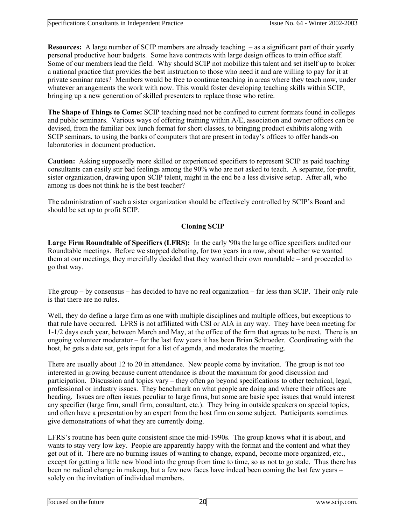**Resources:** A large number of SCIP members are already teaching – as a significant part of their yearly personal productive hour budgets. Some have contracts with large design offices to train office staff. Some of our members lead the field. Why should SCIP not mobilize this talent and set itself up to broker a national practice that provides the best instruction to those who need it and are willing to pay for it at private seminar rates? Members would be free to continue teaching in areas where they teach now, under whatever arrangements the work with now. This would foster developing teaching skills within SCIP, bringing up a new generation of skilled presenters to replace those who retire.

**The Shape of Things to Come:** SCIP teaching need not be confined to current formats found in colleges and public seminars. Various ways of offering training within A/E, association and owner offices can be devised, from the familiar box lunch format for short classes, to bringing product exhibits along with SCIP seminars, to using the banks of computers that are present in today's offices to offer hands-on laboratories in document production.

**Caution:** Asking supposedly more skilled or experienced specifiers to represent SCIP as paid teaching consultants can easily stir bad feelings among the 90% who are not asked to teach. A separate, for-profit, sister organization, drawing upon SCIP talent, might in the end be a less divisive setup. After all, who among us does not think he is the best teacher?

The administration of such a sister organization should be effectively controlled by SCIP's Board and should be set up to profit SCIP.

### **Cloning SCIP**

**Large Firm Roundtable of Specifiers (LFRS):** In the early '90s the large office specifiers audited our Roundtable meetings. Before we stopped debating, for two years in a row, about whether we wanted them at our meetings, they mercifully decided that they wanted their own roundtable – and proceeded to go that way.

The group – by consensus – has decided to have no real organization – far less than SCIP. Their only rule is that there are no rules.

Well, they do define a large firm as one with multiple disciplines and multiple offices, but exceptions to that rule have occurred. LFRS is not affiliated with CSI or AIA in any way. They have been meeting for 1-1/2 days each year, between March and May, at the office of the firm that agrees to be next. There is an ongoing volunteer moderator – for the last few years it has been Brian Schroeder. Coordinating with the host, he gets a date set, gets input for a list of agenda, and moderates the meeting.

There are usually about 12 to 20 in attendance. New people come by invitation. The group is not too interested in growing because current attendance is about the maximum for good discussion and participation. Discussion and topics vary – they often go beyond specifications to other technical, legal, professional or industry issues. They benchmark on what people are doing and where their offices are heading. Issues are often issues peculiar to large firms, but some are basic spec issues that would interest any specifier (large firm, small firm, consultant, etc.). They bring in outside speakers on special topics, and often have a presentation by an expert from the host firm on some subject. Participants sometimes give demonstrations of what they are currently doing.

LFRS's routine has been quite consistent since the mid-1990s. The group knows what it is about, and wants to stay very low key. People are apparently happy with the format and the content and what they get out of it. There are no burning issues of wanting to change, expand, become more organized, etc., except for getting a little new blood into the group from time to time, so as not to go stale. Thus there has been no radical change in makeup, but a few new faces have indeed been coming the last few years – solely on the invitation of individual members.

| ı<br>focused<br>future<br>the<br>on<br>. | −<br>חנ | .:or<br>- 11<br>יי<br>. | . |
|------------------------------------------|---------|-------------------------|---|
|                                          |         |                         |   |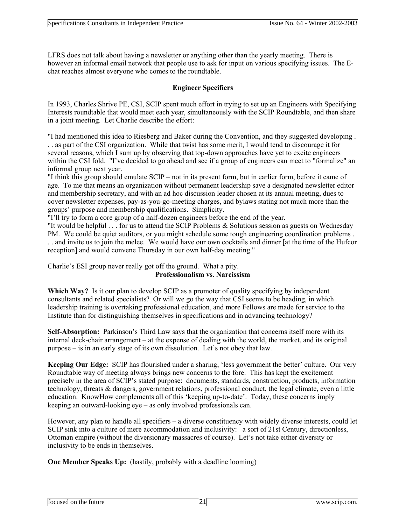LFRS does not talk about having a newsletter or anything other than the yearly meeting. There is however an informal email network that people use to ask for input on various specifying issues. The Echat reaches almost everyone who comes to the roundtable.

#### **Engineer Specifiers**

In 1993, Charles Shrive PE, CSI, SCIP spent much effort in trying to set up an Engineers with Specifying Interests roundtable that would meet each year, simultaneously with the SCIP Roundtable, and then share in a joint meeting. Let Charlie describe the effort:

"I had mentioned this idea to Riesberg and Baker during the Convention, and they suggested developing . . . as part of the CSI organization. While that twist has some merit, I would tend to discourage it for several reasons, which I sum up by observing that top-down approaches have yet to excite engineers within the CSI fold. "I've decided to go ahead and see if a group of engineers can meet to "formalize" an informal group next year.

"I think this group should emulate SCIP – not in its present form, but in earlier form, before it came of age. To me that means an organization without permanent leadership save a designated newsletter editor and membership secretary, and with an ad hoc discussion leader chosen at its annual meeting, dues to cover newsletter expenses, pay-as-you-go-meeting charges, and bylaws stating not much more than the groups' purpose and membership qualifications. Simplicity.

"I'll try to form a core group of a half-dozen engineers before the end of the year.

"It would be helpful . . . for us to attend the SCIP Problems & Solutions session as guests on Wednesday PM. We could be quiet auditors, or you might schedule some tough engineering coordination problems . . . and invite us to join the melee. We would have our own cocktails and dinner [at the time of the Hufcor reception] and would convene Thursday in our own half-day meeting."

Charlie's ESI group never really got off the ground. What a pity.

#### **Professionalism vs. Narcissism**

**Which Way?** Is it our plan to develop SCIP as a promoter of quality specifying by independent consultants and related specialists? Or will we go the way that CSI seems to be heading, in which leadership training is overtaking professional education, and more Fellows are made for service to the Institute than for distinguishing themselves in specifications and in advancing technology?

**Self-Absorption:** Parkinson's Third Law says that the organization that concerns itself more with its internal deck-chair arrangement – at the expense of dealing with the world, the market, and its original purpose – is in an early stage of its own dissolution. Let's not obey that law.

**Keeping Our Edge:** SCIP has flourished under a sharing, 'less government the better' culture. Our very Roundtable way of meeting always brings new concerns to the fore. This has kept the excitement precisely in the area of SCIP's stated purpose: documents, standards, construction, products, information technology, threats & dangers, government relations, professional conduct, the legal climate, even a little education. KnowHow complements all of this 'keeping up-to-date'. Today, these concerns imply keeping an outward-looking eye – as only involved professionals can.

However, any plan to handle all specifiers – a diverse constituency with widely diverse interests, could let SCIP sink into a culture of mere accommodation and inclusivity: a sort of 21st Century, directionless, Ottoman empire (without the diversionary massacres of course). Let's not take either diversity or inclusivity to be ends in themselves.

**One Member Speaks Up:** (hastily, probably with a deadline looming)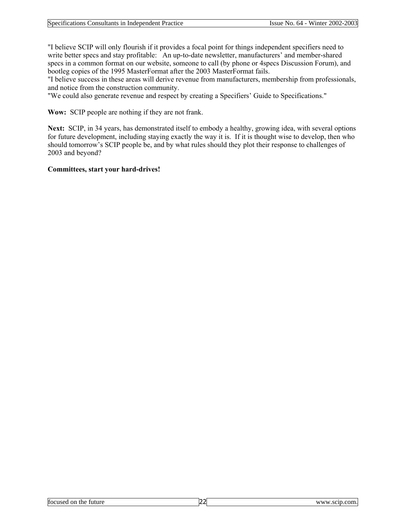"I believe SCIP will only flourish if it provides a focal point for things independent specifiers need to write better specs and stay profitable: An up-to-date newsletter, manufacturers' and member-shared specs in a common format on our website, someone to call (by phone or 4specs Discussion Forum), and bootleg copies of the 1995 MasterFormat after the 2003 MasterFormat fails.

"I believe success in these areas will derive revenue from manufacturers, membership from professionals, and notice from the construction community.

"We could also generate revenue and respect by creating a Specifiers' Guide to Specifications."

**Wow:** SCIP people are nothing if they are not frank.

Next: SCIP, in 34 years, has demonstrated itself to embody a healthy, growing idea, with several options for future development, including staying exactly the way it is. If it is thought wise to develop, then who should tomorrow's SCIP people be, and by what rules should they plot their response to challenges of 2003 and beyond?

#### **Committees, start your hard-drives!**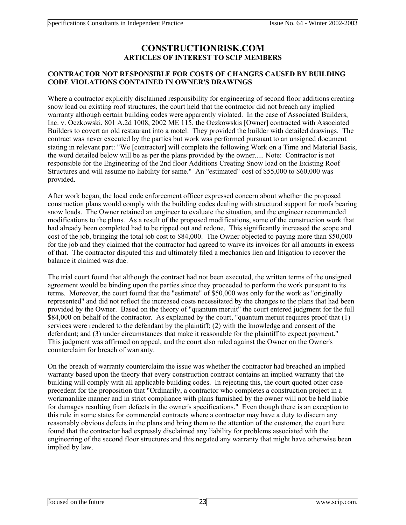## **CONSTRUCTIONRISK.COM ARTICLES OF INTEREST TO SCIP MEMBERS**

#### **CONTRACTOR NOT RESPONSIBLE FOR COSTS OF CHANGES CAUSED BY BUILDING CODE VIOLATIONS CONTAINED IN OWNER'S DRAWINGS**

Where a contractor explicitly disclaimed responsibility for engineering of second floor additions creating snow load on existing roof structures, the court held that the contractor did not breach any implied warranty although certain building codes were apparently violated. In the case of Associated Builders, Inc. v. Oczkowski, 801 A.2d 1008, 2002 ME 115, the Oczkowskis [Owner] contracted with Associated Builders to covert an old restaurant into a motel. They provided the builder with detailed drawings. The contract was never executed by the parties but work was performed pursuant to an unsigned document stating in relevant part: "We [contractor] will complete the following Work on a Time and Material Basis, the word detailed below will be as per the plans provided by the owner..... Note: Contractor is not responsible for the Engineering of the 2nd floor Additions Creating Snow load on the Existing Roof Structures and will assume no liability for same." An "estimated" cost of \$55,000 to \$60,000 was provided.

After work began, the local code enforcement officer expressed concern about whether the proposed construction plans would comply with the building codes dealing with structural support for roofs bearing snow loads. The Owner retained an engineer to evaluate the situation, and the engineer recommended modifications to the plans. As a result of the proposed modifications, some of the construction work that had already been completed had to be ripped out and redone. This significantly increased the scope and cost of the job, bringing the total job cost to \$84,000. The Owner objected to paying more than \$50,000 for the job and they claimed that the contractor had agreed to waive its invoices for all amounts in excess of that. The contractor disputed this and ultimately filed a mechanics lien and litigation to recover the balance it claimed was due.

The trial court found that although the contract had not been executed, the written terms of the unsigned agreement would be binding upon the parties since they proceeded to perform the work pursuant to its terms. Moreover, the court found that the "estimate" of \$50,000 was only for the work as "originally represented" and did not reflect the increased costs necessitated by the changes to the plans that had been provided by the Owner. Based on the theory of "quantum meruit" the court entered judgment for the full \$84,000 on behalf of the contractor. As explained by the court, "quantum meruit requires proof that (1) services were rendered to the defendant by the plaintiff; (2) with the knowledge and consent of the defendant; and (3) under circumstances that make it reasonable for the plaintiff to expect payment." This judgment was affirmed on appeal, and the court also ruled against the Owner on the Owner's counterclaim for breach of warranty.

On the breach of warranty counterclaim the issue was whether the contractor had breached an implied warranty based upon the theory that every construction contract contains an implied warranty that the building will comply with all applicable building codes. In rejecting this, the court quoted other case precedent for the proposition that "Ordinarily, a contractor who completes a construction project in a workmanlike manner and in strict compliance with plans furnished by the owner will not be held liable for damages resulting from defects in the owner's specifications." Even though there is an exception to this rule in some states for commercial contracts where a contractor may have a duty to discern any reasonably obvious defects in the plans and bring them to the attention of the customer, the court here found that the contractor had expressly disclaimed any liability for problems associated with the engineering of the second floor structures and this negated any warranty that might have otherwise been implied by law.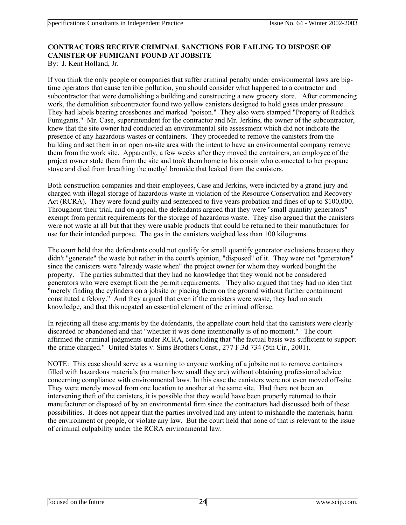## **CONTRACTORS RECEIVE CRIMINAL SANCTIONS FOR FAILING TO DISPOSE OF CANISTER OF FUMIGANT FOUND AT JOBSITE**

By: J. Kent Holland, Jr.

If you think the only people or companies that suffer criminal penalty under environmental laws are bigtime operators that cause terrible pollution, you should consider what happened to a contractor and subcontractor that were demolishing a building and constructing a new grocery store. After commencing work, the demolition subcontractor found two yellow canisters designed to hold gases under pressure. They had labels bearing crossbones and marked "poison." They also were stamped "Property of Reddick Fumigants." Mr. Case, superintendent for the contractor and Mr. Jerkins, the owner of the subcontractor, knew that the site owner had conducted an environmental site assessment which did not indicate the presence of any hazardous wastes or containers. They proceeded to remove the canisters from the building and set them in an open on-site area with the intent to have an environmental company remove them from the work site. Apparently, a few weeks after they moved the containers, an employee of the project owner stole them from the site and took them home to his cousin who connected to her propane stove and died from breathing the methyl bromide that leaked from the canisters.

Both construction companies and their employees, Case and Jerkins, were indicted by a grand jury and charged with illegal storage of hazardous waste in violation of the Resource Conservation and Recovery Act (RCRA). They were found guilty and sentenced to five years probation and fines of up to \$100,000. Throughout their trial, and on appeal, the defendants argued that they were "small quantity generators" exempt from permit requirements for the storage of hazardous waste. They also argued that the canisters were not waste at all but that they were usable products that could be returned to their manufacturer for use for their intended purpose. The gas in the canisters weighed less than 100 kilograms.

The court held that the defendants could not qualify for small quantify generator exclusions because they didn't "generate" the waste but rather in the court's opinion, "disposed" of it. They were not "generators" since the canisters were "already waste when" the project owner for whom they worked bought the property. The parties submitted that they had no knowledge that they would not be considered generators who were exempt from the permit requirements. They also argued that they had no idea that "merely finding the cylinders on a jobsite or placing them on the ground without further containment constituted a felony." And they argued that even if the canisters were waste, they had no such knowledge, and that this negated an essential element of the criminal offense.

In rejecting all these arguments by the defendants, the appellate court held that the canisters were clearly discarded or abandoned and that "whether it was done intentionally is of no moment." The court affirmed the criminal judgments under RCRA, concluding that "the factual basis was sufficient to support the crime charged." United States v. Sims Brothers Const., 277 F.3d 734 (5th Cir., 2001).

NOTE: This case should serve as a warning to anyone working of a jobsite not to remove containers filled with hazardous materials (no matter how small they are) without obtaining professional advice concerning compliance with environmental laws. In this case the canisters were not even moved off-site. They were merely moved from one location to another at the same site. Had there not been an intervening theft of the canisters, it is possible that they would have been properly returned to their manufacturer or disposed of by an environmental firm since the contractors had discussed both of these possibilities. It does not appear that the parties involved had any intent to mishandle the materials, harm the environment or people, or violate any law. But the court held that none of that is relevant to the issue of criminal culpability under the RCRA environmental law.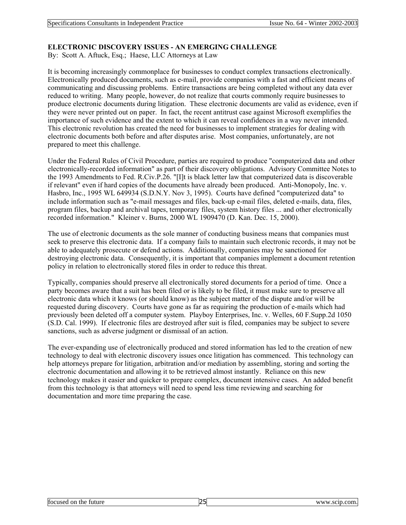#### **ELECTRONIC DISCOVERY ISSUES - AN EMERGING CHALLENGE**

By: Scott A. Aftuck, Esq.; Haese, LLC Attorneys at Law

It is becoming increasingly commonplace for businesses to conduct complex transactions electronically. Electronically produced documents, such as e-mail, provide companies with a fast and efficient means of communicating and discussing problems. Entire transactions are being completed without any data ever reduced to writing. Many people, however, do not realize that courts commonly require businesses to produce electronic documents during litigation. These electronic documents are valid as evidence, even if they were never printed out on paper. In fact, the recent antitrust case against Microsoft exemplifies the importance of such evidence and the extent to which it can reveal confidences in a way never intended. This electronic revolution has created the need for businesses to implement strategies for dealing with electronic documents both before and after disputes arise. Most companies, unfortunately, are not prepared to meet this challenge.

Under the Federal Rules of Civil Procedure, parties are required to produce "computerized data and other electronically-recorded information" as part of their discovery obligations. Advisory Committee Notes to the 1993 Amendments to Fed. R.Civ.P.26. "[I]t is black letter law that computerized data is discoverable if relevant" even if hard copies of the documents have already been produced. Anti-Monopoly, Inc. v. Hasbro, Inc., 1995 WL 649934 (S.D.N.Y. Nov 3, 1995). Courts have defined "computerized data" to include information such as "e-mail messages and files, back-up e-mail files, deleted e-mails, data, files, program files, backup and archival tapes, temporary files, system history files ... and other electronically recorded information." Kleiner v. Burns, 2000 WL 1909470 (D. Kan. Dec. 15, 2000).

The use of electronic documents as the sole manner of conducting business means that companies must seek to preserve this electronic data. If a company fails to maintain such electronic records, it may not be able to adequately prosecute or defend actions. Additionally, companies may be sanctioned for destroying electronic data. Consequently, it is important that companies implement a document retention policy in relation to electronically stored files in order to reduce this threat.

Typically, companies should preserve all electronically stored documents for a period of time. Once a party becomes aware that a suit has been filed or is likely to be filed, it must make sure to preserve all electronic data which it knows (or should know) as the subject matter of the dispute and/or will be requested during discovery. Courts have gone as far as requiring the production of e-mails which had previously been deleted off a computer system. Playboy Enterprises, Inc. v. Welles, 60 F.Supp.2d 1050 (S.D. Cal. 1999). If electronic files are destroyed after suit is filed, companies may be subject to severe sanctions, such as adverse judgment or dismissal of an action.

The ever-expanding use of electronically produced and stored information has led to the creation of new technology to deal with electronic discovery issues once litigation has commenced. This technology can help attorneys prepare for litigation, arbitration and/or mediation by assembling, storing and sorting the electronic documentation and allowing it to be retrieved almost instantly. Reliance on this new technology makes it easier and quicker to prepare complex, document intensive cases. An added benefit from this technology is that attorneys will need to spend less time reviewing and searching for documentation and more time preparing the case.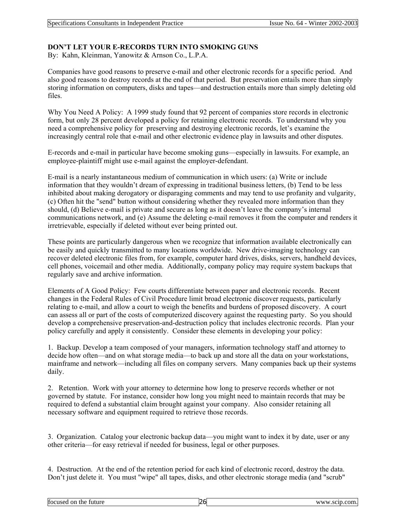### **DON'T LET YOUR E-RECORDS TURN INTO SMOKING GUNS**

By: Kahn, Kleinman, Yanowitz & Arnson Co., L.P.A.

Companies have good reasons to preserve e-mail and other electronic records for a specific period. And also good reasons to destroy records at the end of that period. But preservation entails more than simply storing information on computers, disks and tapes—and destruction entails more than simply deleting old files.

Why You Need A Policy: A 1999 study found that 92 percent of companies store records in electronic form, but only 28 percent developed a policy for retaining electronic records. To understand why you need a comprehensive policy for preserving and destroying electronic records, let's examine the increasingly central role that e-mail and other electronic evidence play in lawsuits and other disputes.

E-records and e-mail in particular have become smoking guns—especially in lawsuits. For example, an employee-plaintiff might use e-mail against the employer-defendant.

E-mail is a nearly instantaneous medium of communication in which users: (a) Write or include information that they wouldn't dream of expressing in traditional business letters, (b) Tend to be less inhibited about making derogatory or disparaging comments and may tend to use profanity and vulgarity, (c) Often hit the "send" button without considering whether they revealed more information than they should, (d) Believe e-mail is private and secure as long as it doesn't leave the company's internal communications network, and (e) Assume the deleting e-mail removes it from the computer and renders it irretrievable, especially if deleted without ever being printed out.

These points are particularly dangerous when we recognize that information available electronically can be easily and quickly transmitted to many locations worldwide. New drive-imaging technology can recover deleted electronic files from, for example, computer hard drives, disks, servers, handheld devices, cell phones, voicemail and other media. Additionally, company policy may require system backups that regularly save and archive information.

Elements of A Good Policy: Few courts differentiate between paper and electronic records. Recent changes in the Federal Rules of Civil Procedure limit broad electronic discover requests, particularly relating to e-mail, and allow a court to weigh the benefits and burdens of proposed discovery. A court can assess all or part of the costs of computerized discovery against the requesting party. So you should develop a comprehensive preservation-and-destruction policy that includes electronic records. Plan your policy carefully and apply it consistently. Consider these elements in developing your policy:

1. Backup. Develop a team composed of your managers, information technology staff and attorney to decide how often—and on what storage media—to back up and store all the data on your workstations, mainframe and network—including all files on company servers. Many companies back up their systems daily.

2. Retention. Work with your attorney to determine how long to preserve records whether or not governed by statute. For instance, consider how long you might need to maintain records that may be required to defend a substantial claim brought against your company. Also consider retaining all necessary software and equipment required to retrieve those records.

3. Organization. Catalog your electronic backup data—you might want to index it by date, user or any other criteria—for easy retrieval if needed for business, legal or other purposes.

4. Destruction. At the end of the retention period for each kind of electronic record, destroy the data. Don't just delete it. You must "wipe" all tapes, disks, and other electronic storage media (and "scrub"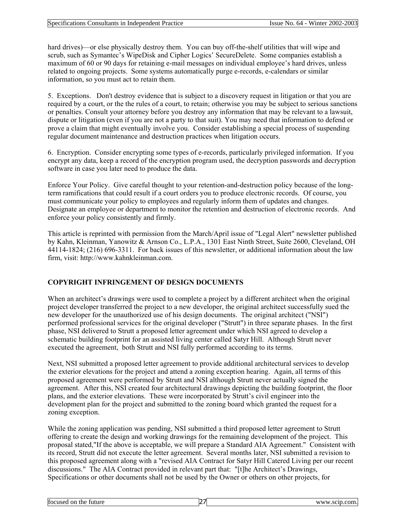hard drives)—or else physically destroy them. You can buy off-the-shelf utilities that will wipe and scrub, such as Symantec's WipeDisk and Cipher Logics' SecureDelete. Some companies establish a maximum of 60 or 90 days for retaining e-mail messages on individual employee's hard drives, unless related to ongoing projects. Some systems automatically purge e-records, e-calendars or similar information, so you must act to retain them.

5. Exceptions. Don't destroy evidence that is subject to a discovery request in litigation or that you are required by a court, or the the rules of a court, to retain; otherwise you may be subject to serious sanctions or penalties. Consult your attorney before you destroy any information that may be relevant to a lawsuit, dispute or litigation (even if you are not a party to that suit). You may need that information to defend or prove a claim that might eventually involve you. Consider establishing a special process of suspending regular document maintenance and destruction practices when litigation occurs.

6. Encryption. Consider encrypting some types of e-records, particularly privileged information. If you encrypt any data, keep a record of the encryption program used, the decryption passwords and decryption software in case you later need to produce the data.

Enforce Your Policy. Give careful thought to your retention-and-destruction policy because of the longterm ramifications that could result if a court orders you to produce electronic records. Of course, you must communicate your policy to employees and regularly inform them of updates and changes. Designate an employee or department to monitor the retention and destruction of electronic records. And enforce your policy consistently and firmly.

This article is reprinted with permission from the March/April issue of "Legal Alert" newsletter published by Kahn, Kleinman, Yanowitz & Arnson Co., L.P.A., 1301 East Ninth Street, Suite 2600, Cleveland, OH 44114-1824; (216) 696-3311. For back issues of this newsletter, or additional information about the law firm, visit: http://www.kahnkleinman.com.

## **COPYRIGHT INFRINGEMENT OF DESIGN DOCUMENTS**

When an architect's drawings were used to complete a project by a different architect when the original project developer transferred the project to a new developer, the original architect successfully sued the new developer for the unauthorized use of his design documents. The original architect ("NSI") performed professional services for the original developer ("Strutt") in three separate phases. In the first phase, NSI delivered to Strutt a proposed letter agreement under which NSI agreed to develop a schematic building footprint for an assisted living center called Satyr Hill. Although Strutt never executed the agreement, both Strutt and NSI fully performed according to its terms.

Next, NSI submitted a proposed letter agreement to provide additional architectural services to develop the exterior elevations for the project and attend a zoning exception hearing. Again, all terms of this proposed agreement were performed by Strutt and NSI although Strutt never actually signed the agreement. After this, NSI created four architectural drawings depicting the building footprint, the floor plans, and the exterior elevations. These were incorporated by Strutt's civil engineer into the development plan for the project and submitted to the zoning board which granted the request for a zoning exception.

While the zoning application was pending, NSI submitted a third proposed letter agreement to Strutt offering to create the design and working drawings for the remaining development of the project. This proposal stated,"If the above is acceptable, we will prepare a Standard AIA Agreement." Consistent with its record, Strutt did not execute the letter agreement. Several months later, NSI submitted a revision to this proposed agreement along with a "revised AIA Contract for Satyr Hill Catered Living per our recent discussions." The AIA Contract provided in relevant part that: "[t]he Architect's Drawings, Specifications or other documents shall not be used by the Owner or others on other projects, for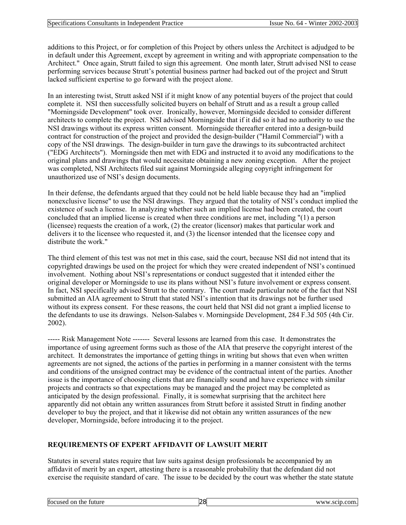additions to this Project, or for completion of this Project by others unless the Architect is adjudged to be in default under this Agreement, except by agreement in writing and with appropriate compensation to the Architect." Once again, Strutt failed to sign this agreement. One month later, Strutt advised NSI to cease performing services because Strutt's potential business partner had backed out of the project and Strutt lacked sufficient expertise to go forward with the project alone.

In an interesting twist, Strutt asked NSI if it might know of any potential buyers of the project that could complete it. NSI then successfully solicited buyers on behalf of Strutt and as a result a group called "Morningside Development" took over. Ironically, however, Morningside decided to consider different architects to complete the project. NSI advised Morningside that if it did so it had no authority to use the NSI drawings without its express written consent. Morningside thereafter entered into a design-build contract for construction of the project and provided the design-builder ("Hamil Commercial") with a copy of the NSI drawings. The design-builder in turn gave the drawings to its subcontracted architect ("EDG Architects"). Morningside then met with EDG and instructed it to avoid any modifications to the original plans and drawings that would necessitate obtaining a new zoning exception. After the project was completed, NSI Architects filed suit against Morningside alleging copyright infringement for unauthorized use of NSI's design documents.

In their defense, the defendants argued that they could not be held liable because they had an "implied nonexclusive license" to use the NSI drawings. They argued that the totality of NSI's conduct implied the existence of such a license. In analyzing whether such an implied license had been created, the court concluded that an implied license is created when three conditions are met, including "(1) a person (licensee) requests the creation of a work, (2) the creator (licensor) makes that particular work and delivers it to the licensee who requested it, and (3) the licensor intended that the licensee copy and distribute the work."

The third element of this test was not met in this case, said the court, because NSI did not intend that its copyrighted drawings be used on the project for which they were created independent of NSI's continued involvement. Nothing about NSI's representations or conduct suggested that it intended either the original developer or Morningside to use its plans without NSI's future involvement or express consent. In fact, NSI specifically advised Strutt to the contrary. The court made particular note of the fact that NSI submitted an AIA agreement to Strutt that stated NSI's intention that its drawings not be further used without its express consent. For these reasons, the court held that NSI did not grant a implied license to the defendants to use its drawings. Nelson-Salabes v. Morningside Development, 284 F.3d 505 (4th Cir. 2002).

----- Risk Management Note ------- Several lessons are learned from this case. It demonstrates the importance of using agreement forms such as those of the AIA that preserve the copyright interest of the architect. It demonstrates the importance of getting things in writing but shows that even when written agreements are not signed, the actions of the parties in performing in a manner consistent with the terms and conditions of the unsigned contract may be evidence of the contractual intent of the parties. Another issue is the importance of choosing clients that are financially sound and have experience with similar projects and contracts so that expectations may be managed and the project may be completed as anticipated by the design professional. Finally, it is somewhat surprising that the architect here apparently did not obtain any written assurances from Strutt before it assisted Strutt in finding another developer to buy the project, and that it likewise did not obtain any written assurances of the new developer, Morningside, before introducing it to the project.

## **REQUIREMENTS OF EXPERT AFFIDAVIT OF LAWSUIT MERIT**

Statutes in several states require that law suits against design professionals be accompanied by an affidavit of merit by an expert, attesting there is a reasonable probability that the defendant did not exercise the requisite standard of care. The issue to be decided by the court was whether the state statute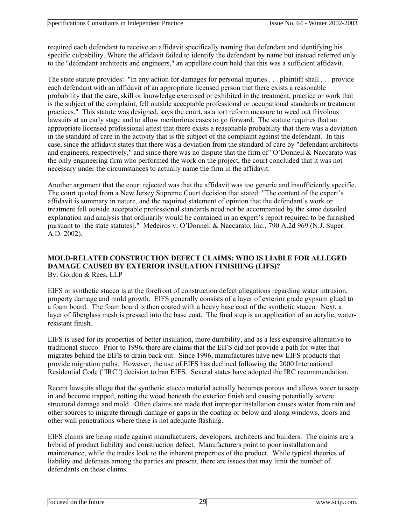required each defendant to receive an affidavit specifically naming that defendant and identifying his specific culpability. Where the affidavit failed to identify the defendant by name but instead referred only to the "defendant architects and engineers," an appellate court held that this was a sufficient affidavit.

The state statute provides: "In any action for damages for personal injuries . . . plaintiff shall . . . provide each defendant with an affidavit of an appropriate licensed person that there exists a reasonable probability that the care, skill or knowledge exercised or exhibited in the treatment, practice or work that is the subject of the complaint, fell outside acceptable professional or occupational standards or treatment practices." This statute was designed, says the court, as a tort reform measure to weed out frivolous lawsuits at an early stage and to allow meritorious cases to go forward. The statute requires that an appropriate licensed professional attest that there exists a reasonable probability that there was a deviation in the standard of care in the activity that is the subject of the complaint against the defendant. In this case, since the affidavit states that there was a deviation from the standard of care by "defendant architects and engineers, respectively," and since there was no dispute that the firm of "O'Donnell & Naccarato was the only engineering firm who performed the work on the project, the court concluded that it was not necessary under the circumstances to actually name the firm in the affidavit.

Another argument that the court rejected was that the affidavit was too generic and insufficiently specific. The court quoted from a New Jersey Supreme Court decision that stated: "The content of the expert's affidavit is summary in nature, and the required statement of opinion that the defendant's work or treatment fell outside acceptable professional standards need not be accompanied by the same detailed explanation and analysis that ordinarily would be contained in an expert's report required to be furnished pursuant to [the state statutes]." Medeiros v. O'Donnell & Naccarato, Inc., 790 A.2d 969 (N.J. Super. A.D. 2002).

#### **MOLD-RELATED CONSTRUCTION DEFECT CLAIMS: WHO IS LIABLE FOR ALLEGED DAMAGE CAUSED BY EXTERIOR INSULATION FINISHING (EIFS)?**  By: Gordon & Rees, LLP

EIFS or synthetic stucco is at the forefront of construction defect allegations regarding water intrusion, property damage and mold growth. EIFS generally consists of a layer of exterior grade gypsum glued to a foam board. The foam board is then coated with a heavy base coat of the synthetic stucco. Next, a layer of fiberglass mesh is pressed into the base coat. The final step is an application of an acrylic, waterresistant finish.

EIFS is used for its properties of better insulation, more durability, and as a less expensive alternative to traditional stucco. Prior to 1996, there are claims that the EIFS did not provide a path for water that migrates behind the EIFS to drain back out. Since 1996, manufactures have new EIFS products that provide migration paths. However, the use of EIFS has declined following the 2000 International Residential Code ("IRC") decision to ban EIFS. Several states have adopted the IRC recommendation.

Recent lawsuits allege that the synthetic stucco material actually becomes porous and allows water to seep in and become trapped, rotting the wood beneath the exterior finish and causing potentially severe structural damage and mold. Often claims are made that improper installation causes water from rain and other sources to migrate through damage or gaps in the coating or below and along windows, doors and other wall penetrations where there is not adequate flashing.

EIFS claims are being made against manufacturers, developers, architects and builders. The claims are a hybrid of product liability and construction defect. Manufacturers point to poor installation and maintenance, while the trades look to the inherent properties of the product. While typical theories of liability and defenses among the parties are present, there are issues that may limit the number of defendants on these claims.

| focused on the future |  |  |  |  |
|-----------------------|--|--|--|--|
|-----------------------|--|--|--|--|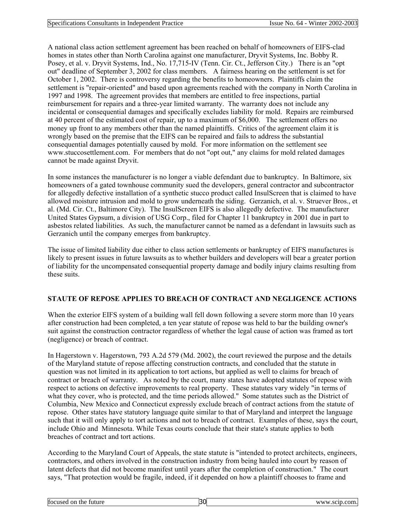A national class action settlement agreement has been reached on behalf of homeowners of EIFS-clad homes in states other than North Carolina against one manufacturer, Dryvit Systems, Inc. Bobby R. Posey, et al. v. Dryvit Systems, Ind., No. 17,715-IV (Tenn. Cir. Ct., Jefferson City.) There is an "opt out" deadline of September 3, 2002 for class members. A fairness hearing on the settlement is set for October 1, 2002. There is controversy regarding the benefits to homeowners. Plaintiffs claim the settlement is "repair-oriented" and based upon agreements reached with the company in North Carolina in 1997 and 1998. The agreement provides that members are entitled to free inspections, partial reimbursement for repairs and a three-year limited warranty. The warranty does not include any incidental or consequential damages and specifically excludes liability for mold. Repairs are reimbursed at 40 percent of the estimated cost of repair, up to a maximum of \$6,000. The settlement offers no money up front to any members other than the named plaintiffs. Critics of the agreement claim it is wrongly based on the premise that the EIFS can be repaired and fails to address the substantial consequential damages potentially caused by mold. For more information on the settlement see www.stuccosettlement.com. For members that do not "opt out," any claims for mold related damages cannot be made against Dryvit.

In some instances the manufacturer is no longer a viable defendant due to bankruptcy. In Baltimore, six homeowners of a gated townhouse community sued the developers, general contractor and subcontractor for allegedly defective installation of a synthetic stucco product called InsulScreen that is claimed to have allowed moisture intrusion and mold to grow underneath the siding. Gerzanich, et al. v. Struever Bros., et al. (Md. Cir. Ct., Baltimore City). The InsulScreen EIFS is also allegedly defective. The manufacturer United States Gypsum, a division of USG Corp., filed for Chapter 11 bankruptcy in 2001 due in part to asbestos related liabilities. As such, the manufacturer cannot be named as a defendant in lawsuits such as Gerzanich until the company emerges from bankruptcy.

The issue of limited liability due either to class action settlements or bankruptcy of EIFS manufactures is likely to present issues in future lawsuits as to whether builders and developers will bear a greater portion of liability for the uncompensated consequential property damage and bodily injury claims resulting from these suits.

#### **STAUTE OF REPOSE APPLIES TO BREACH OF CONTRACT AND NEGLIGENCE ACTIONS**

When the exterior EIFS system of a building wall fell down following a severe storm more than 10 years after construction had been completed, a ten year statute of repose was held to bar the building owner's suit against the construction contractor regardless of whether the legal cause of action was framed as tort (negligence) or breach of contract.

In Hagerstown v. Hagerstown, 793 A.2d 579 (Md. 2002), the court reviewed the purpose and the details of the Maryland statute of repose affecting construction contracts, and concluded that the statute in question was not limited in its application to tort actions, but applied as well to claims for breach of contract or breach of warranty. As noted by the court, many states have adopted statutes of repose with respect to actions on defective improvements to real property. These statutes vary widely "in terms of what they cover, who is protected, and the time periods allowed." Some statutes such as the District of Columbia, New Mexico and Connecticut expressly exclude breach of contract actions from the statute of repose. Other states have statutory language quite similar to that of Maryland and interpret the language such that it will only apply to tort actions and not to breach of contract. Examples of these, says the court, include Ohio and Minnesota. While Texas courts conclude that their state's statute applies to both breaches of contract and tort actions.

According to the Maryland Court of Appeals, the state statute is "intended to protect architects, engineers, contractors, and others involved in the construction industry from being hauled into court by reason of latent defects that did not become manifest until years after the completion of construction." The court says, "That protection would be fragile, indeed, if it depended on how a plaintiff chooses to frame and

| $\sim$<br>tocu<br>. ne<br>m<br>ιц<br>uw<br>. | the contract of the contract of the contract of the contract of the contract of the contract of the contract of<br>. |
|----------------------------------------------|----------------------------------------------------------------------------------------------------------------------|
|                                              |                                                                                                                      |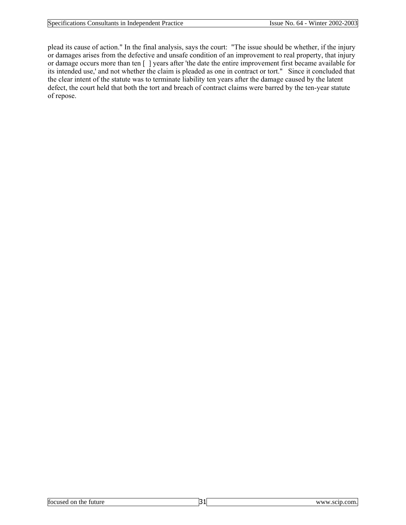plead its cause of action." In the final analysis, says the court: "The issue should be whether, if the injury or damages arises from the defective and unsafe condition of an improvement to real property, that injury or damage occurs more than ten [ ] years after 'the date the entire improvement first became available for its intended use,' and not whether the claim is pleaded as one in contract or tort." Since it concluded that the clear intent of the statute was to terminate liability ten years after the damage caused by the latent defect, the court held that both the tort and breach of contract claims were barred by the ten-year statute of repose.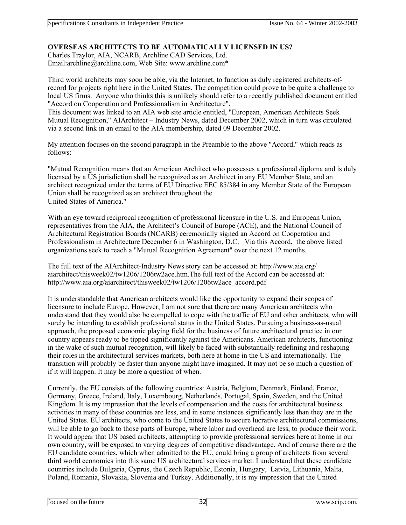#### **OVERSEAS ARCHITECTS TO BE AUTOMATICALLY LICENSED IN US?**

Charles Traylor, AIA, NCARB, Archline CAD Services, Ltd. Email:archline@archline.com, Web Site: www.archline.com\*

Third world architects may soon be able, via the Internet, to function as duly registered architects-ofrecord for projects right here in the United States. The competition could prove to be quite a challenge to local US firms. Anyone who thinks this is unlikely should refer to a recently published document entitled "Accord on Cooperation and Professionalism in Architecture".

This document was linked to an AIA web site article entitled, "European, American Architects Seek Mutual Recognition," AIArchitect – Industry News, dated December 2002, which in turn was circulated via a second link in an email to the AIA membership, dated 09 December 2002.

My attention focuses on the second paragraph in the Preamble to the above "Accord," which reads as follows:

"Mutual Recognition means that an American Architect who possesses a professional diploma and is duly licensed by a US jurisdiction shall be recognized as an Architect in any EU Member State, and an architect recognized under the terms of EU Directive EEC 85/384 in any Member State of the European Union shall be recognized as an architect throughout the United States of America."

With an eye toward reciprocal recognition of professional licensure in the U.S. and European Union, representatives from the AIA, the Architect's Council of Europe (ACE), and the National Council of Architectural Registration Boards (NCARB) ceremonially signed an Accord on Cooperation and Professionalism in Architecture December 6 in Washington, D.C. Via this Accord, the above listed organizations seek to reach a "Mutual Recognition Agreement" over the next 12 months.

The full text of the AIArchitect-Industry News story can be accessed at: http://www.aia.org/ aiarchitect/thisweek02/tw1206/1206tw2ace.htm.The full text of the Accord can be accessed at: http://www.aia.org/aiarchitect/thisweek02/tw1206/1206tw2ace\_accord.pdf

It is understandable that American architects would like the opportunity to expand their scopes of licensure to include Europe. However, I am not sure that there are many American architects who understand that they would also be compelled to cope with the traffic of EU and other architects, who will surely be intending to establish professional status in the United States. Pursuing a business-as-usual approach, the proposed economic playing field for the business of future architectural practice in our country appears ready to be tipped significantly against the Americans. American architects, functioning in the wake of such mutual recognition, will likely be faced with substantially redefining and reshaping their roles in the architectural services markets, both here at home in the US and internationally. The transition will probably be faster than anyone might have imagined. It may not be so much a question of if it will happen. It may be more a question of when.

Currently, the EU consists of the following countries: Austria, Belgium, Denmark, Finland, France, Germany, Greece, Ireland, Italy, Luxembourg, Netherlands, Portugal, Spain, Sweden, and the United Kingdom. It is my impression that the levels of compensation and the costs for architectural business activities in many of these countries are less, and in some instances significantly less than they are in the United States. EU architects, who come to the United States to secure lucrative architectural commissions, will be able to go back to those parts of Europe, where labor and overhead are less, to produce their work. It would appear that US based architects, attempting to provide professional services here at home in our own country, will be exposed to varying degrees of competitive disadvantage. And of course there are the EU candidate countries, which when admitted to the EU, could bring a group of architects from several third world economies into this same US architectural services market. I understand that these candidate countries include Bulgaria, Cyprus, the Czech Republic, Estonia, Hungary, Latvia, Lithuania, Malta, Poland, Romania, Slovakia, Slovenia and Turkey. Additionally, it is my impression that the United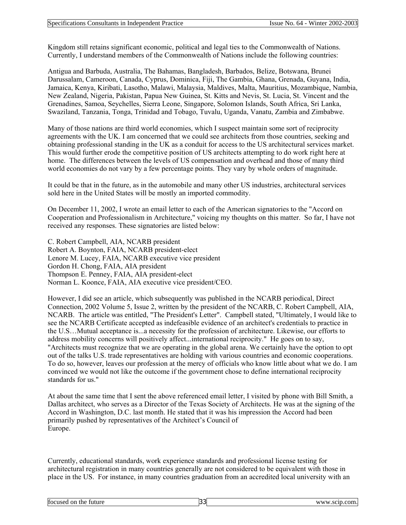Kingdom still retains significant economic, political and legal ties to the Commonwealth of Nations. Currently, I understand members of the Commonwealth of Nations include the following countries:

Antigua and Barbuda, Australia, The Bahamas, Bangladesh, Barbados, Belize, Botswana, Brunei Darussalam, Cameroon, Canada, Cyprus, Dominica, Fiji, The Gambia, Ghana, Grenada, Guyana, India, Jamaica, Kenya, Kiribati, Lasotho, Malawi, Malaysia, Maldives, Malta, Mauritius, Mozambique, Nambia, New Zealand, Nigeria, Pakistan, Papua New Guinea, St. Kitts and Nevis, St. Lucia, St. Vincent and the Grenadines, Samoa, Seychelles, Sierra Leone, Singapore, Solomon Islands, South Africa, Sri Lanka, Swaziland, Tanzania, Tonga, Trinidad and Tobago, Tuvalu, Uganda, Vanatu, Zambia and Zimbabwe.

Many of those nations are third world economies, which I suspect maintain some sort of reciprocity agreements with the UK. I am concerned that we could see architects from those countries, seeking and obtaining professional standing in the UK as a conduit for access to the US architectural services market. This would further erode the competitive position of US architects attempting to do work right here at home. The differences between the levels of US compensation and overhead and those of many third world economies do not vary by a few percentage points. They vary by whole orders of magnitude.

It could be that in the future, as in the automobile and many other US industries, architectural services sold here in the United States will be mostly an imported commodity.

On December 11, 2002, I wrote an email letter to each of the American signatories to the "Accord on Cooperation and Professionalism in Architecture," voicing my thoughts on this matter. So far, I have not received any responses. These signatories are listed below:

C. Robert Campbell, AIA, NCARB president Robert A. Boynton, FAIA, NCARB president-elect Lenore M. Lucey, FAIA, NCARB executive vice president Gordon H. Chong, FAIA, AIA president Thompson E. Penney, FAIA, AIA president-elect Norman L. Koonce, FAIA, AIA executive vice president/CEO.

However, I did see an article, which subsequently was published in the NCARB periodical, Direct Connection, 2002 Volume 5, Issue 2, written by the president of the NCARB, C. Robert Campbell, AIA, NCARB. The article was entitled, "The President's Letter". Campbell stated, "Ultimately, I would like to see the NCARB Certificate accepted as indefeasible evidence of an architect's credentials to practice in the U.S…Mutual acceptance is...a necessity for the profession of architecture. Likewise, our efforts to address mobility concerns will positively affect...international reciprocity." He goes on to say, "Architects must recognize that we are operating in the global arena. We certainly have the option to opt out of the talks U.S. trade representatives are holding with various countries and economic cooperations. To do so, however, leaves our profession at the mercy of officials who know little about what we do. I am convinced we would not like the outcome if the government chose to define international reciprocity standards for us."

At about the same time that I sent the above referenced email letter, I visited by phone with Bill Smith, a Dallas architect, who serves as a Director of the Texas Society of Architects. He was at the signing of the Accord in Washington, D.C. last month. He stated that it was his impression the Accord had been primarily pushed by representatives of the Architect's Council of Europe.

Currently, educational standards, work experience standards and professional license testing for architectural registration in many countries generally are not considered to be equivalent with those in place in the US. For instance, in many countries graduation from an accredited local university with an

| Lo<br>toc<br>ОT<br>1116<br>' ISEA<br>. | ۰. | the contract of the contract of the contract of the contract of the contract of the contract of the contract of<br>. |
|----------------------------------------|----|----------------------------------------------------------------------------------------------------------------------|
|                                        |    |                                                                                                                      |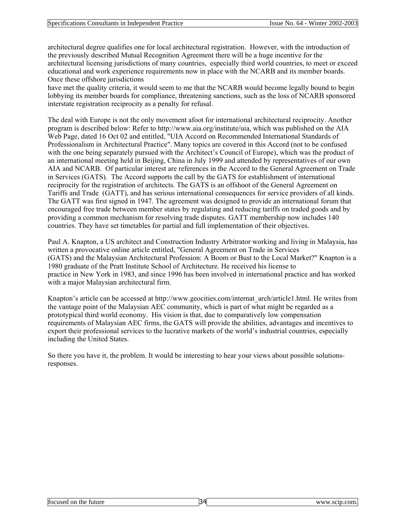architectural degree qualifies one for local architectural registration. However, with the introduction of the previously described Mutual Recognition Agreement there will be a huge incentive for the architectural licensing jurisdictions of many countries, especially third world countries, to meet or exceed educational and work experience requirements now in place with the NCARB and its member boards. Once these offshore jurisdictions

have met the quality criteria, it would seem to me that the NCARB would become legally bound to begin lobbying its member boards for compliance, threatening sanctions, such as the loss of NCARB sponsored interstate registration reciprocity as a penalty for refusal.

The deal with Europe is not the only movement afoot for international architectural reciprocity. Another program is described below: Refer to http://www.aia.org/institute/uia, which was published on the AIA Web Page, dated 16 Oct 02 and entitled, "UIA Accord on Recommended International Standards of Professionalism in Architectural Practice". Many topics are covered in this Accord (not to be confused with the one being separately pursued with the Architect's Council of Europe), which was the product of an international meeting held in Beijing, China in July 1999 and attended by representatives of our own AIA and NCARB. Of particular interest are references in the Accord to the General Agreement on Trade in Services (GATS). The Accord supports the call by the GATS for establishment of international reciprocity for the registration of architects. The GATS is an offshoot of the General Agreement on Tariffs and Trade (GATT), and has serious international consequences for service providers of all kinds. The GATT was first signed in 1947. The agreement was designed to provide an international forum that encouraged free trade between member states by regulating and reducing tariffs on traded goods and by providing a common mechanism for resolving trade disputes. GATT membership now includes 140 countries. They have set timetables for partial and full implementation of their objectives.

Paul A. Knapton, a US architect and Construction Industry Arbitrator working and living in Malaysia, has written a provocative online article entitled, "General Agreement on Trade in Services (GATS) and the Malaysian Architectural Profession: A Boom or Bust to the Local Market?" Knapton is a 1980 graduate of the Pratt Institute School of Architecture. He received his license to practice in New York in 1983, and since 1996 has been involved in international practice and has worked with a major Malaysian architectural firm.

Knapton's article can be accessed at http://www.geocities.com/internat\_arch/article1.html. He writes from the vantage point of the Malaysian AEC community, which is part of what might be regarded as a prototypical third world economy. His vision is that, due to comparatively low compensation requirements of Malaysian AEC firms, the GATS will provide the abilities, advantages and incentives to export their professional services to the lucrative markets of the world's industrial countries, especially including the United States.

So there you have it, the problem. It would be interesting to hear your views about possible solutionsresponses.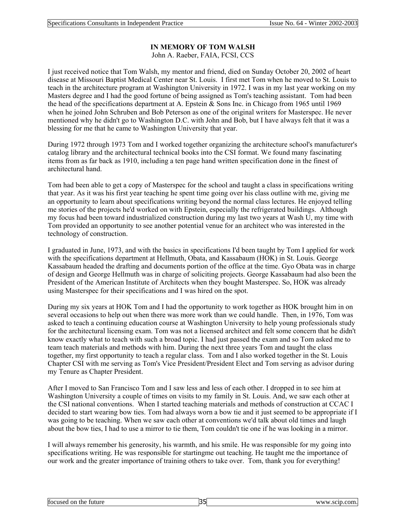## **IN MEMORY OF TOM WALSH**

John A. Raeber, FAIA, FCSI, CCS

I just received notice that Tom Walsh, my mentor and friend, died on Sunday October 20, 2002 of heart disease at Missouri Baptist Medical Center near St. Louis. I first met Tom when he moved to St. Louis to teach in the architecture program at Washington University in 1972. I was in my last year working on my Masters degree and I had the good fortune of being assigned as Tom's teaching assistant. Tom had been the head of the specifications department at A. Epstein & Sons Inc. in Chicago from 1965 until 1969 when he joined John Schruben and Bob Peterson as one of the original writers for Masterspec. He never mentioned why he didn't go to Washington D.C. with John and Bob, but I have always felt that it was a blessing for me that he came to Washington University that year.

During 1972 through 1973 Tom and I worked together organizing the architecture school's manufacturer's catalog library and the architectural technical books into the CSI format. We found many fascinating items from as far back as 1910, including a ten page hand written specification done in the finest of architectural hand.

Tom had been able to get a copy of Masterspec for the school and taught a class in specifications writing that year. As it was his first year teaching he spent time going over his class outline with me, giving me an opportunity to learn about specifications writing beyond the normal class lectures. He enjoyed telling me stories of the projects he'd worked on with Epstein, especially the refrigerated buildings. Although my focus had been toward industrialized construction during my last two years at Wash U, my time with Tom provided an opportunity to see another potential venue for an architect who was interested in the technology of construction.

I graduated in June, 1973, and with the basics in specifications I'd been taught by Tom I applied for work with the specifications department at Hellmuth, Obata, and Kassabaum (HOK) in St. Louis. George Kassabaum headed the drafting and documents portion of the office at the time. Gyo Obata was in charge of design and George Hellmuth was in charge of soliciting projects. George Kassabaum had also been the President of the American Institute of Architects when they bought Masterspec. So, HOK was already using Masterspec for their specifications and I was hired on the spot.

During my six years at HOK Tom and I had the opportunity to work together as HOK brought him in on several occasions to help out when there was more work than we could handle. Then, in 1976, Tom was asked to teach a continuing education course at Washington University to help young professionals study for the architectural licensing exam. Tom was not a licensed architect and felt some concern that he didn't know exactly what to teach with such a broad topic. I had just passed the exam and so Tom asked me to team teach materials and methods with him. During the next three years Tom and taught the class together, my first opportunity to teach a regular class. Tom and I also worked together in the St. Louis Chapter CSI with me serving as Tom's Vice President/President Elect and Tom serving as advisor during my Tenure as Chapter President.

After I moved to San Francisco Tom and I saw less and less of each other. I dropped in to see him at Washington University a couple of times on visits to my family in St. Louis. And, we saw each other at the CSI national conventions. When I started teaching materials and methods of construction at CCAC I decided to start wearing bow ties. Tom had always worn a bow tie and it just seemed to be appropriate if I was going to be teaching. When we saw each other at conventions we'd talk about old times and laugh about the bow ties, I had to use a mirror to tie them, Tom couldn't tie one if he was looking in a mirror.

I will always remember his generosity, his warmth, and his smile. He was responsible for my going into specifications writing. He was responsible for startingme out teaching. He taught me the importance of our work and the greater importance of training others to take over. Tom, thank you for everything!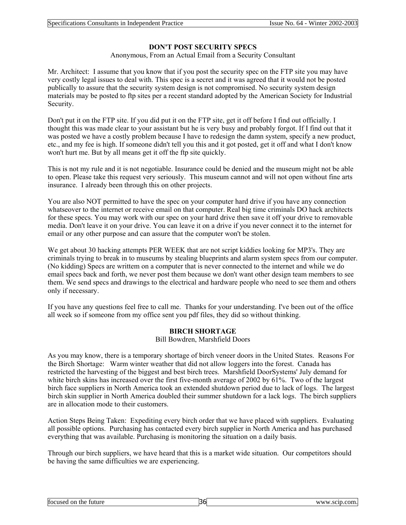#### **DON'T POST SECURITY SPECS**

Anonymous, From an Actual Email from a Security Consultant

Mr. Architect: I assume that you know that if you post the security spec on the FTP site you may have very costly legal issues to deal with. This spec is a secret and it was agreed that it would not be posted publically to assure that the security system design is not compromised. No security system design materials may be posted to ftp sites per a recent standard adopted by the American Society for Industrial Security.

Don't put it on the FTP site. If you did put it on the FTP site, get it off before I find out officially. I thought this was made clear to your assistant but he is very busy and probably forgot. If I find out that it was posted we have a costly problem because I have to redesign the damn system, specify a new product, etc., and my fee is high. If someone didn't tell you this and it got posted, get it off and what I don't know won't hurt me. But by all means get it off the ftp site quickly.

This is not my rule and it is not negotiable. Insurance could be denied and the museum might not be able to open. Please take this request very seriously. This museum cannot and will not open without fine arts insurance. I already been through this on other projects.

You are also NOT permitted to have the spec on your computer hard drive if you have any connection whatseover to the internet or receive email on that computer. Real big time criminals DO hack architects for these specs. You may work with our spec on your hard drive then save it off your drive to removable media. Don't leave it on your drive. You can leave it on a drive if you never connect it to the internet for email or any other purpose and can assure that the computer won't be stolen.

We get about 30 hacking attempts PER WEEK that are not script kiddies looking for MP3's. They are criminals trying to break in to museums by stealing blueprints and alarm system specs from our computer. (No kidding) Specs are writtem on a computer that is never connected to the internet and while we do email specs back and forth, we never post them because we don't want other design team members to see them. We send specs and drawings to the electrical and hardware people who need to see them and others only if necessary.

If you have any questions feel free to call me. Thanks for your understanding. I've been out of the office all week so if someone from my office sent you pdf files, they did so without thinking.

#### **BIRCH SHORTAGE**

Bill Bowdren, Marshfield Doors

As you may know, there is a temporary shortage of birch veneer doors in the United States. Reasons For the Birch Shortage: Warm winter weather that did not allow loggers into the forest. Canada has restricted the harvesting of the biggest and best birch trees. Marshfield DoorSystems' July demand for white birch skins has increased over the first five-month average of 2002 by 61%. Two of the largest birch face suppliers in North America took an extended shutdown period due to lack of logs. The largest birch skin supplier in North America doubled their summer shutdown for a lack logs. The birch suppliers are in allocation mode to their customers.

Action Steps Being Taken: Expediting every birch order that we have placed with suppliers. Evaluating all possible options. Purchasing has contacted every birch supplier in North America and has purchased everything that was available. Purchasing is monitoring the situation on a daily basis.

Through our birch suppliers, we have heard that this is a market wide situation. Our competitors should be having the same difficulties we are experiencing.

|--|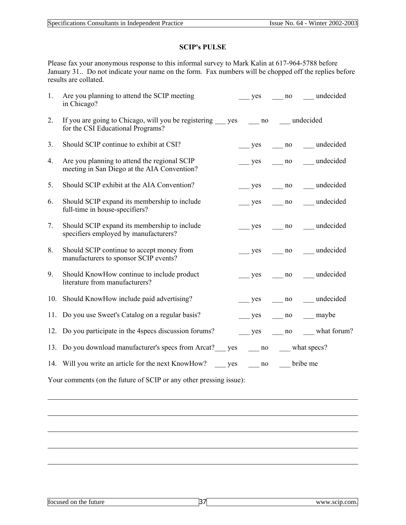### **SCIP's PULSE**

Please fax your anonymous response to this informal survey to Mark Kalin at 617-964-5788 before January 31. Do not indicate your name on the form. Fax numbers will be chopped off the replies before results are collated.

| 1.             | Are you planning to attend the SCIP meeting<br>in Chicago?                                                                                                                                                                                                                                                        |  | yes          | no                                                                               | undecided          |  |  |  |  |
|----------------|-------------------------------------------------------------------------------------------------------------------------------------------------------------------------------------------------------------------------------------------------------------------------------------------------------------------|--|--------------|----------------------------------------------------------------------------------|--------------------|--|--|--|--|
| 2.             | If you are going to Chicago, will you be registering yes no undecided<br>for the CSI Educational Programs?                                                                                                                                                                                                        |  |              |                                                                                  |                    |  |  |  |  |
| 3.             | Should SCIP continue to exhibit at CSI?                                                                                                                                                                                                                                                                           |  | yes          | no                                                                               | undecided          |  |  |  |  |
| 4.             | Are you planning to attend the regional SCIP<br>meeting in San Diego at the AIA Convention?                                                                                                                                                                                                                       |  | $\equiv$ yes | no                                                                               | undecided          |  |  |  |  |
| 5.             | Should SCIP exhibit at the AIA Convention?                                                                                                                                                                                                                                                                        |  | $\equiv$ yes | no                                                                               | undecided          |  |  |  |  |
| 6.             | Should SCIP expand its membership to include<br>full-time in house-specifiers?                                                                                                                                                                                                                                    |  | $\equiv$ yes | $\frac{1}{\sqrt{1-\frac{1}{2}}}$                                                 | undecided          |  |  |  |  |
| 7 <sub>1</sub> | Should SCIP expand its membership to include<br>specifiers employed by manufacturers?                                                                                                                                                                                                                             |  | yes          |                                                                                  | __ no __ undecided |  |  |  |  |
| 8.             | Should SCIP continue to accept money from<br>manufacturers to sponsor SCIP events?                                                                                                                                                                                                                                |  | yes          | no                                                                               | undecided          |  |  |  |  |
| 9.             | Should KnowHow continue to include product<br>literature from manufacturers?                                                                                                                                                                                                                                      |  | yes          | no                                                                               | __ undecided       |  |  |  |  |
|                | 10. Should KnowHow include paid advertising?                                                                                                                                                                                                                                                                      |  | yes          | no                                                                               | undecided          |  |  |  |  |
|                | 11. Do you use Sweet's Catalog on a regular basis?                                                                                                                                                                                                                                                                |  | $\equiv$ yes | no                                                                               | $\equiv$ maybe     |  |  |  |  |
|                | 12. Do you participate in the 4 specs discussion forums?                                                                                                                                                                                                                                                          |  | $\equiv$ yes | no                                                                               | what forum?        |  |  |  |  |
|                | 13. Do you download manufacturer's specs from Arcat? ___ yes                                                                                                                                                                                                                                                      |  |              | $\frac{1}{\sqrt{1-\frac{1}{2}}}$ no $\frac{1}{\sqrt{1-\frac{1}{2}}}$ what specs? |                    |  |  |  |  |
|                | 14. Will you write an article for the next KnowHow? _____ yes                                                                                                                                                                                                                                                     |  |              | $\frac{1}{\sqrt{1-\frac{1}{2}}}$ no $\frac{1}{\sqrt{1-\frac{1}{2}}}$ bribe me    |                    |  |  |  |  |
|                | $\mathcal{L}$ and $\mathcal{L}$ and $\mathcal{L}$ and $\mathcal{L}$ and $\mathcal{L}$ and $\mathcal{L}$ and $\mathcal{L}$ and $\mathcal{L}$ and $\mathcal{L}$ and $\mathcal{L}$ and $\mathcal{L}$ and $\mathcal{L}$ and $\mathcal{L}$ and $\mathcal{L}$ and $\mathcal{L}$ and $\mathcal{L}$ and $\mathcal{L}$ and |  |              |                                                                                  |                    |  |  |  |  |

Your comments (on the future of SCIP or any other pressing issue):

 $\overline{a}$ 

l